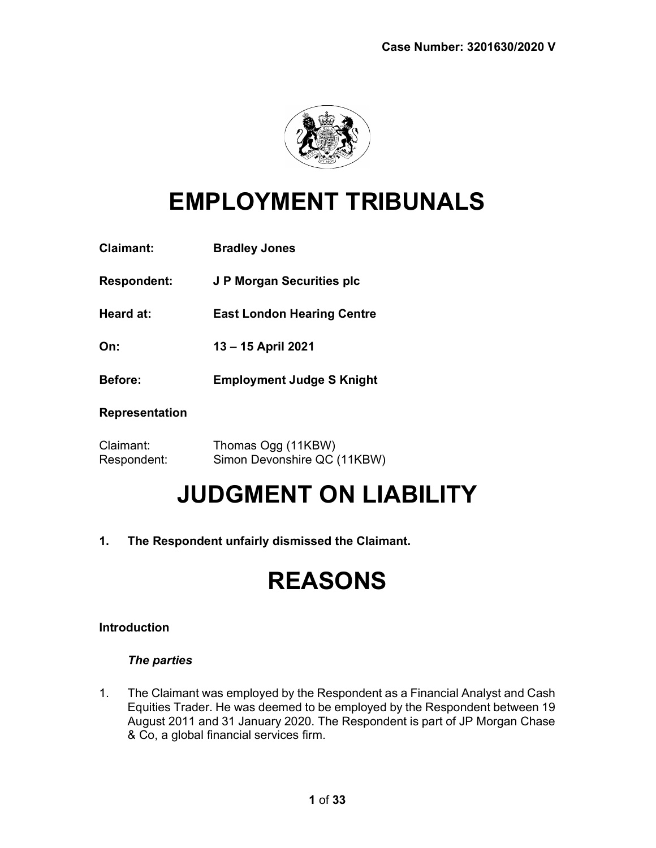

## EMPLOYMENT TRIBUNALS

| <b>Claimant:</b>      | <b>Bradley Jones</b>              |
|-----------------------|-----------------------------------|
| <b>Respondent:</b>    | J P Morgan Securities plc         |
| Heard at:             | <b>East London Hearing Centre</b> |
| On:                   | 13-15 April 2021                  |
| <b>Before:</b>        | <b>Employment Judge S Knight</b>  |
| <b>Representation</b> |                                   |
|                       |                                   |

Claimant: Thomas Ogg (11KBW) Respondent: Simon Devonshire QC (11KBW)

## JUDGMENT ON LIABILITY

1. The Respondent unfairly dismissed the Claimant.

## REASONS

## Introduction

## The parties

1. The Claimant was employed by the Respondent as a Financial Analyst and Cash Equities Trader. He was deemed to be employed by the Respondent between 19 August 2011 and 31 January 2020. The Respondent is part of JP Morgan Chase & Co, a global financial services firm.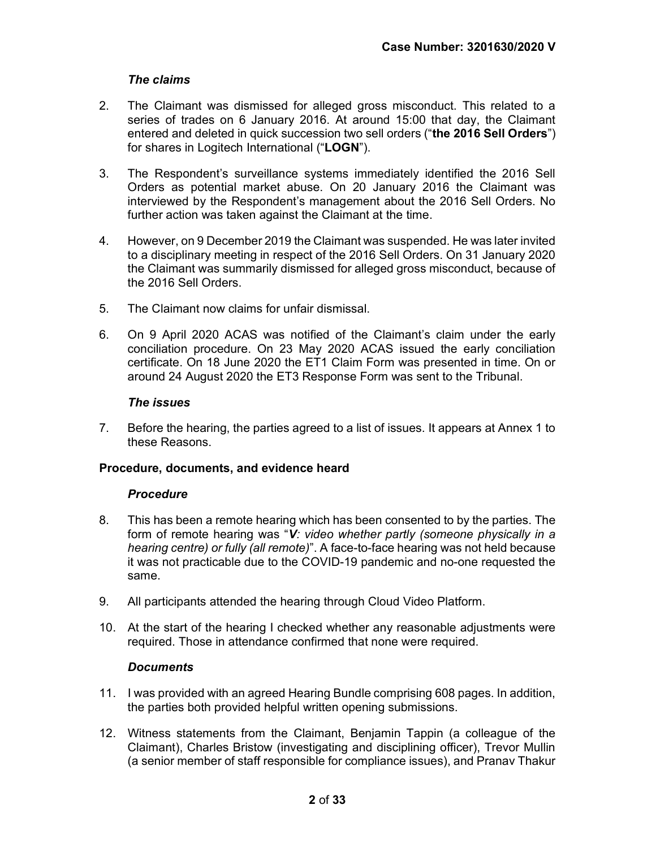## The claims

- 2. The Claimant was dismissed for alleged gross misconduct. This related to a series of trades on 6 January 2016. At around 15:00 that day, the Claimant entered and deleted in quick succession two sell orders ("the 2016 Sell Orders") for shares in Logitech International ("LOGN").
- 3. The Respondent's surveillance systems immediately identified the 2016 Sell Orders as potential market abuse. On 20 January 2016 the Claimant was interviewed by the Respondent's management about the 2016 Sell Orders. No further action was taken against the Claimant at the time.
- 4. However, on 9 December 2019 the Claimant was suspended. He was later invited to a disciplinary meeting in respect of the 2016 Sell Orders. On 31 January 2020 the Claimant was summarily dismissed for alleged gross misconduct, because of the 2016 Sell Orders.
- 5. The Claimant now claims for unfair dismissal.
- 6. On 9 April 2020 ACAS was notified of the Claimant's claim under the early conciliation procedure. On 23 May 2020 ACAS issued the early conciliation certificate. On 18 June 2020 the ET1 Claim Form was presented in time. On or around 24 August 2020 the ET3 Response Form was sent to the Tribunal.

#### The issues

7. Before the hearing, the parties agreed to a list of issues. It appears at Annex 1 to these Reasons.

#### Procedure, documents, and evidence heard

#### **Procedure**

- 8. This has been a remote hearing which has been consented to by the parties. The form of remote hearing was "V: video whether partly (someone physically in a hearing centre) or fully (all remote)". A face-to-face hearing was not held because it was not practicable due to the COVID-19 pandemic and no-one requested the same.
- 9. All participants attended the hearing through Cloud Video Platform.
- 10. At the start of the hearing I checked whether any reasonable adjustments were required. Those in attendance confirmed that none were required.

#### **Documents**

- 11. I was provided with an agreed Hearing Bundle comprising 608 pages. In addition, the parties both provided helpful written opening submissions.
- 12. Witness statements from the Claimant, Benjamin Tappin (a colleague of the Claimant), Charles Bristow (investigating and disciplining officer), Trevor Mullin (a senior member of staff responsible for compliance issues), and Pranav Thakur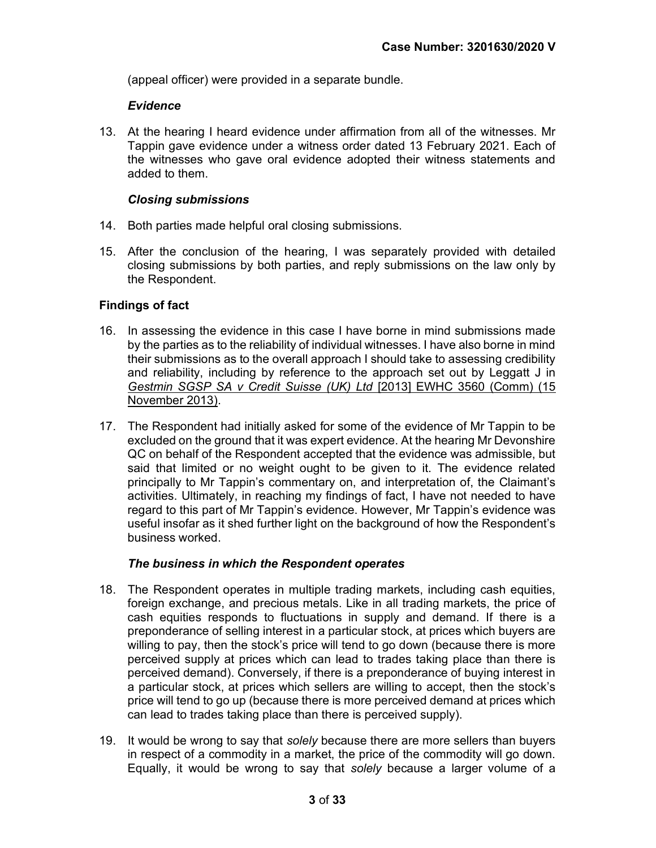(appeal officer) were provided in a separate bundle.

#### Evidence

13. At the hearing I heard evidence under affirmation from all of the witnesses. Mr Tappin gave evidence under a witness order dated 13 February 2021. Each of the witnesses who gave oral evidence adopted their witness statements and added to them.

#### Closing submissions

- 14. Both parties made helpful oral closing submissions.
- 15. After the conclusion of the hearing, I was separately provided with detailed closing submissions by both parties, and reply submissions on the law only by the Respondent.

#### Findings of fact

- 16. In assessing the evidence in this case I have borne in mind submissions made by the parties as to the reliability of individual witnesses. I have also borne in mind their submissions as to the overall approach I should take to assessing credibility and reliability, including by reference to the approach set out by Leggatt J in Gestmin SGSP SA v Credit Suisse (UK) Ltd [2013] EWHC 3560 (Comm) (15 November 2013).
- 17. The Respondent had initially asked for some of the evidence of Mr Tappin to be excluded on the ground that it was expert evidence. At the hearing Mr Devonshire QC on behalf of the Respondent accepted that the evidence was admissible, but said that limited or no weight ought to be given to it. The evidence related principally to Mr Tappin's commentary on, and interpretation of, the Claimant's activities. Ultimately, in reaching my findings of fact, I have not needed to have regard to this part of Mr Tappin's evidence. However, Mr Tappin's evidence was useful insofar as it shed further light on the background of how the Respondent's business worked.

#### The business in which the Respondent operates

- 18. The Respondent operates in multiple trading markets, including cash equities, foreign exchange, and precious metals. Like in all trading markets, the price of cash equities responds to fluctuations in supply and demand. If there is a preponderance of selling interest in a particular stock, at prices which buyers are willing to pay, then the stock's price will tend to go down (because there is more perceived supply at prices which can lead to trades taking place than there is perceived demand). Conversely, if there is a preponderance of buying interest in a particular stock, at prices which sellers are willing to accept, then the stock's price will tend to go up (because there is more perceived demand at prices which can lead to trades taking place than there is perceived supply).
- 19. It would be wrong to say that *solely* because there are more sellers than buyers in respect of a commodity in a market, the price of the commodity will go down. Equally, it would be wrong to say that solely because a larger volume of a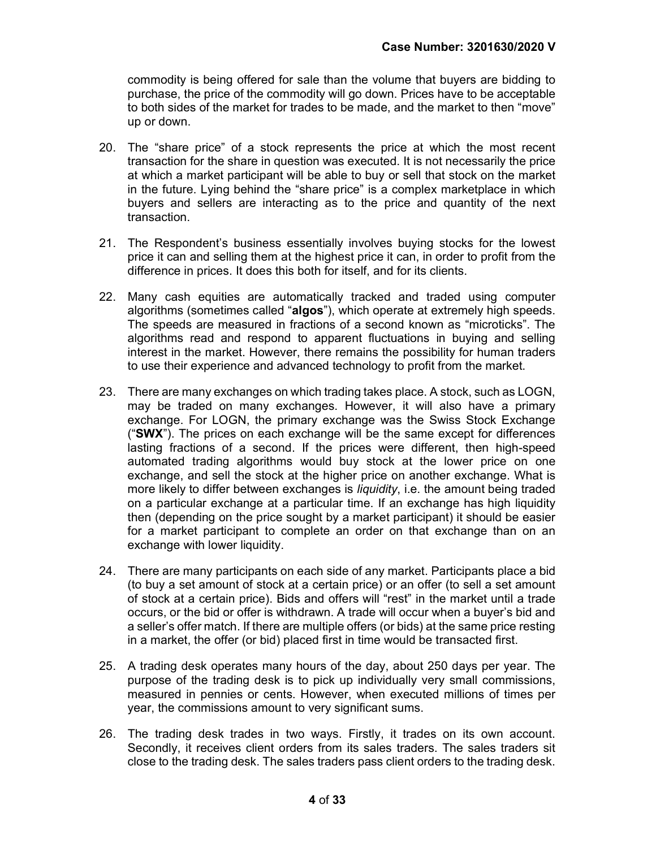commodity is being offered for sale than the volume that buyers are bidding to purchase, the price of the commodity will go down. Prices have to be acceptable to both sides of the market for trades to be made, and the market to then "move" up or down.

- 20. The "share price" of a stock represents the price at which the most recent transaction for the share in question was executed. It is not necessarily the price at which a market participant will be able to buy or sell that stock on the market in the future. Lying behind the "share price" is a complex marketplace in which buyers and sellers are interacting as to the price and quantity of the next transaction.
- 21. The Respondent's business essentially involves buying stocks for the lowest price it can and selling them at the highest price it can, in order to profit from the difference in prices. It does this both for itself, and for its clients.
- 22. Many cash equities are automatically tracked and traded using computer algorithms (sometimes called "algos"), which operate at extremely high speeds. The speeds are measured in fractions of a second known as "microticks". The algorithms read and respond to apparent fluctuations in buying and selling interest in the market. However, there remains the possibility for human traders to use their experience and advanced technology to profit from the market.
- 23. There are many exchanges on which trading takes place. A stock, such as LOGN, may be traded on many exchanges. However, it will also have a primary exchange. For LOGN, the primary exchange was the Swiss Stock Exchange ("SWX"). The prices on each exchange will be the same except for differences lasting fractions of a second. If the prices were different, then high-speed automated trading algorithms would buy stock at the lower price on one exchange, and sell the stock at the higher price on another exchange. What is more likely to differ between exchanges is liquidity, i.e. the amount being traded on a particular exchange at a particular time. If an exchange has high liquidity then (depending on the price sought by a market participant) it should be easier for a market participant to complete an order on that exchange than on an exchange with lower liquidity.
- 24. There are many participants on each side of any market. Participants place a bid (to buy a set amount of stock at a certain price) or an offer (to sell a set amount of stock at a certain price). Bids and offers will "rest" in the market until a trade occurs, or the bid or offer is withdrawn. A trade will occur when a buyer's bid and a seller's offer match. If there are multiple offers (or bids) at the same price resting in a market, the offer (or bid) placed first in time would be transacted first.
- 25. A trading desk operates many hours of the day, about 250 days per year. The purpose of the trading desk is to pick up individually very small commissions, measured in pennies or cents. However, when executed millions of times per year, the commissions amount to very significant sums.
- 26. The trading desk trades in two ways. Firstly, it trades on its own account. Secondly, it receives client orders from its sales traders. The sales traders sit close to the trading desk. The sales traders pass client orders to the trading desk.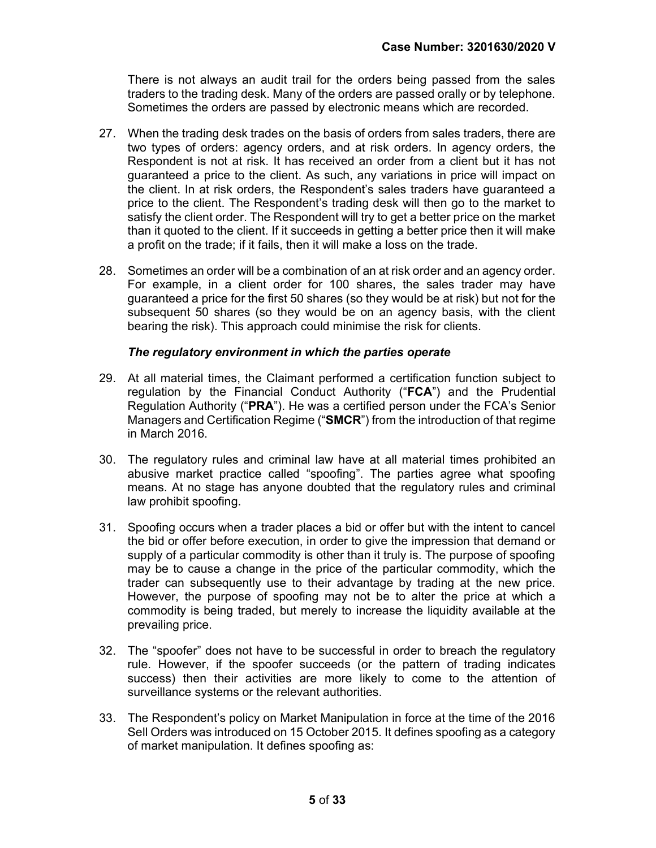There is not always an audit trail for the orders being passed from the sales traders to the trading desk. Many of the orders are passed orally or by telephone. Sometimes the orders are passed by electronic means which are recorded.

- 27. When the trading desk trades on the basis of orders from sales traders, there are two types of orders: agency orders, and at risk orders. In agency orders, the Respondent is not at risk. It has received an order from a client but it has not guaranteed a price to the client. As such, any variations in price will impact on the client. In at risk orders, the Respondent's sales traders have guaranteed a price to the client. The Respondent's trading desk will then go to the market to satisfy the client order. The Respondent will try to get a better price on the market than it quoted to the client. If it succeeds in getting a better price then it will make a profit on the trade; if it fails, then it will make a loss on the trade.
- 28. Sometimes an order will be a combination of an at risk order and an agency order. For example, in a client order for 100 shares, the sales trader may have guaranteed a price for the first 50 shares (so they would be at risk) but not for the subsequent 50 shares (so they would be on an agency basis, with the client bearing the risk). This approach could minimise the risk for clients.

#### The regulatory environment in which the parties operate

- 29. At all material times, the Claimant performed a certification function subject to regulation by the Financial Conduct Authority ("FCA") and the Prudential Regulation Authority ("PRA"). He was a certified person under the FCA's Senior Managers and Certification Regime ("SMCR") from the introduction of that regime in March 2016.
- 30. The regulatory rules and criminal law have at all material times prohibited an abusive market practice called "spoofing". The parties agree what spoofing means. At no stage has anyone doubted that the regulatory rules and criminal law prohibit spoofing.
- 31. Spoofing occurs when a trader places a bid or offer but with the intent to cancel the bid or offer before execution, in order to give the impression that demand or supply of a particular commodity is other than it truly is. The purpose of spoofing may be to cause a change in the price of the particular commodity, which the trader can subsequently use to their advantage by trading at the new price. However, the purpose of spoofing may not be to alter the price at which a commodity is being traded, but merely to increase the liquidity available at the prevailing price.
- 32. The "spoofer" does not have to be successful in order to breach the regulatory rule. However, if the spoofer succeeds (or the pattern of trading indicates success) then their activities are more likely to come to the attention of surveillance systems or the relevant authorities.
- 33. The Respondent's policy on Market Manipulation in force at the time of the 2016 Sell Orders was introduced on 15 October 2015. It defines spoofing as a category of market manipulation. It defines spoofing as: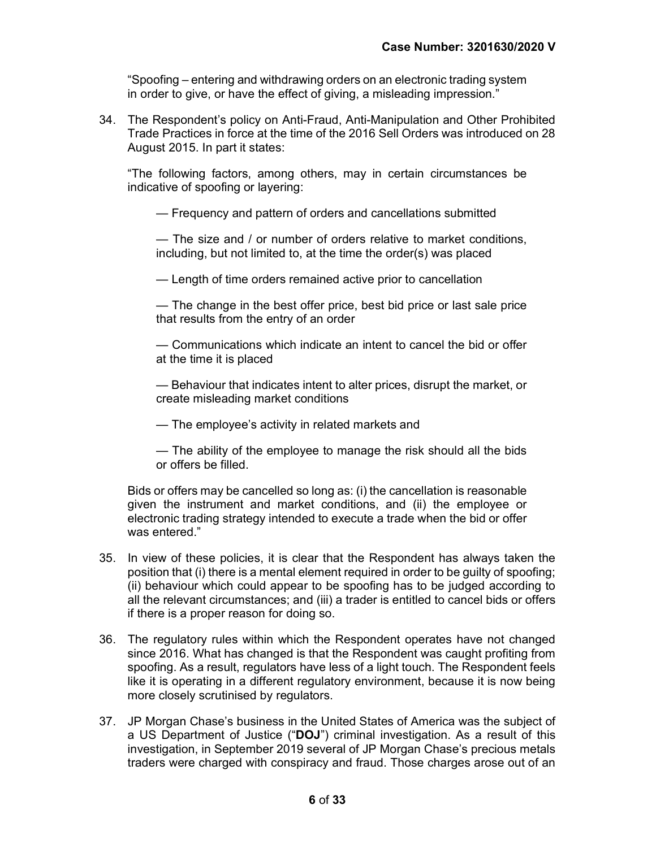"Spoofing – entering and withdrawing orders on an electronic trading system in order to give, or have the effect of giving, a misleading impression."

34. The Respondent's policy on Anti-Fraud, Anti-Manipulation and Other Prohibited Trade Practices in force at the time of the 2016 Sell Orders was introduced on 28 August 2015. In part it states:

"The following factors, among others, may in certain circumstances be indicative of spoofing or layering:

— Frequency and pattern of orders and cancellations submitted

— The size and / or number of orders relative to market conditions, including, but not limited to, at the time the order(s) was placed

— Length of time orders remained active prior to cancellation

— The change in the best offer price, best bid price or last sale price that results from the entry of an order

— Communications which indicate an intent to cancel the bid or offer at the time it is placed

— Behaviour that indicates intent to alter prices, disrupt the market, or create misleading market conditions

— The employee's activity in related markets and

— The ability of the employee to manage the risk should all the bids or offers be filled.

Bids or offers may be cancelled so long as: (i) the cancellation is reasonable given the instrument and market conditions, and (ii) the employee or electronic trading strategy intended to execute a trade when the bid or offer was entered."

- 35. In view of these policies, it is clear that the Respondent has always taken the position that (i) there is a mental element required in order to be guilty of spoofing; (ii) behaviour which could appear to be spoofing has to be judged according to all the relevant circumstances; and (iii) a trader is entitled to cancel bids or offers if there is a proper reason for doing so.
- 36. The regulatory rules within which the Respondent operates have not changed since 2016. What has changed is that the Respondent was caught profiting from spoofing. As a result, regulators have less of a light touch. The Respondent feels like it is operating in a different regulatory environment, because it is now being more closely scrutinised by regulators.
- 37. JP Morgan Chase's business in the United States of America was the subject of a US Department of Justice ("DOJ") criminal investigation. As a result of this investigation, in September 2019 several of JP Morgan Chase's precious metals traders were charged with conspiracy and fraud. Those charges arose out of an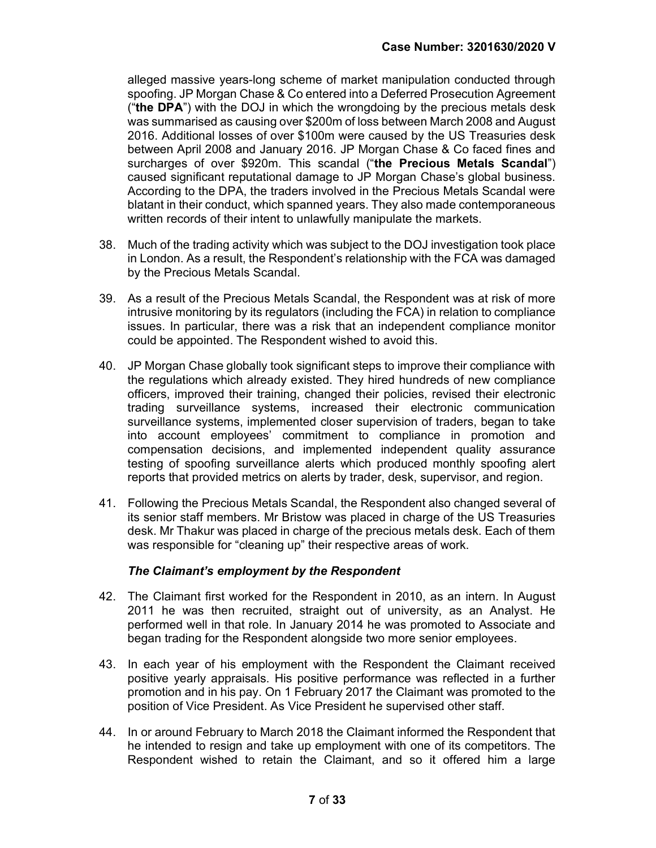alleged massive years-long scheme of market manipulation conducted through spoofing. JP Morgan Chase & Co entered into a Deferred Prosecution Agreement ("the DPA") with the DOJ in which the wrongdoing by the precious metals desk was summarised as causing over \$200m of loss between March 2008 and August 2016. Additional losses of over \$100m were caused by the US Treasuries desk between April 2008 and January 2016. JP Morgan Chase & Co faced fines and surcharges of over \$920m. This scandal ("the Precious Metals Scandal") caused significant reputational damage to JP Morgan Chase's global business. According to the DPA, the traders involved in the Precious Metals Scandal were blatant in their conduct, which spanned years. They also made contemporaneous written records of their intent to unlawfully manipulate the markets.

- 38. Much of the trading activity which was subject to the DOJ investigation took place in London. As a result, the Respondent's relationship with the FCA was damaged by the Precious Metals Scandal.
- 39. As a result of the Precious Metals Scandal, the Respondent was at risk of more intrusive monitoring by its regulators (including the FCA) in relation to compliance issues. In particular, there was a risk that an independent compliance monitor could be appointed. The Respondent wished to avoid this.
- 40. JP Morgan Chase globally took significant steps to improve their compliance with the regulations which already existed. They hired hundreds of new compliance officers, improved their training, changed their policies, revised their electronic trading surveillance systems, increased their electronic communication surveillance systems, implemented closer supervision of traders, began to take into account employees' commitment to compliance in promotion and compensation decisions, and implemented independent quality assurance testing of spoofing surveillance alerts which produced monthly spoofing alert reports that provided metrics on alerts by trader, desk, supervisor, and region.
- 41. Following the Precious Metals Scandal, the Respondent also changed several of its senior staff members. Mr Bristow was placed in charge of the US Treasuries desk. Mr Thakur was placed in charge of the precious metals desk. Each of them was responsible for "cleaning up" their respective areas of work.

#### The Claimant's employment by the Respondent

- 42. The Claimant first worked for the Respondent in 2010, as an intern. In August 2011 he was then recruited, straight out of university, as an Analyst. He performed well in that role. In January 2014 he was promoted to Associate and began trading for the Respondent alongside two more senior employees.
- 43. In each year of his employment with the Respondent the Claimant received positive yearly appraisals. His positive performance was reflected in a further promotion and in his pay. On 1 February 2017 the Claimant was promoted to the position of Vice President. As Vice President he supervised other staff.
- 44. In or around February to March 2018 the Claimant informed the Respondent that he intended to resign and take up employment with one of its competitors. The Respondent wished to retain the Claimant, and so it offered him a large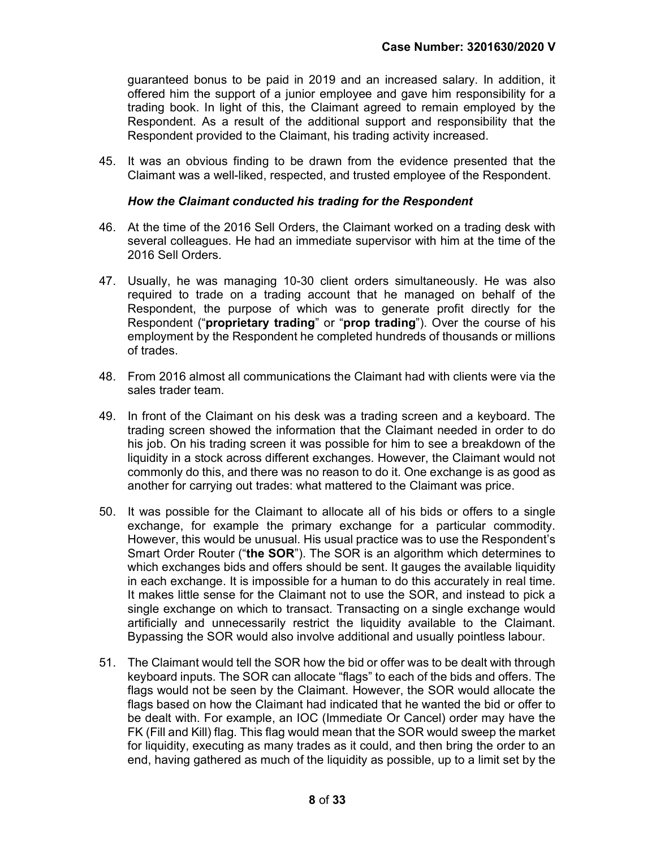guaranteed bonus to be paid in 2019 and an increased salary. In addition, it offered him the support of a junior employee and gave him responsibility for a trading book. In light of this, the Claimant agreed to remain employed by the Respondent. As a result of the additional support and responsibility that the Respondent provided to the Claimant, his trading activity increased.

45. It was an obvious finding to be drawn from the evidence presented that the Claimant was a well-liked, respected, and trusted employee of the Respondent.

#### How the Claimant conducted his trading for the Respondent

- 46. At the time of the 2016 Sell Orders, the Claimant worked on a trading desk with several colleagues. He had an immediate supervisor with him at the time of the 2016 Sell Orders.
- 47. Usually, he was managing 10-30 client orders simultaneously. He was also required to trade on a trading account that he managed on behalf of the Respondent, the purpose of which was to generate profit directly for the Respondent ("proprietary trading" or "prop trading"). Over the course of his employment by the Respondent he completed hundreds of thousands or millions of trades.
- 48. From 2016 almost all communications the Claimant had with clients were via the sales trader team.
- 49. In front of the Claimant on his desk was a trading screen and a keyboard. The trading screen showed the information that the Claimant needed in order to do his job. On his trading screen it was possible for him to see a breakdown of the liquidity in a stock across different exchanges. However, the Claimant would not commonly do this, and there was no reason to do it. One exchange is as good as another for carrying out trades: what mattered to the Claimant was price.
- 50. It was possible for the Claimant to allocate all of his bids or offers to a single exchange, for example the primary exchange for a particular commodity. However, this would be unusual. His usual practice was to use the Respondent's Smart Order Router ("the SOR"). The SOR is an algorithm which determines to which exchanges bids and offers should be sent. It gauges the available liquidity in each exchange. It is impossible for a human to do this accurately in real time. It makes little sense for the Claimant not to use the SOR, and instead to pick a single exchange on which to transact. Transacting on a single exchange would artificially and unnecessarily restrict the liquidity available to the Claimant. Bypassing the SOR would also involve additional and usually pointless labour.
- 51. The Claimant would tell the SOR how the bid or offer was to be dealt with through keyboard inputs. The SOR can allocate "flags" to each of the bids and offers. The flags would not be seen by the Claimant. However, the SOR would allocate the flags based on how the Claimant had indicated that he wanted the bid or offer to be dealt with. For example, an IOC (Immediate Or Cancel) order may have the FK (Fill and Kill) flag. This flag would mean that the SOR would sweep the market for liquidity, executing as many trades as it could, and then bring the order to an end, having gathered as much of the liquidity as possible, up to a limit set by the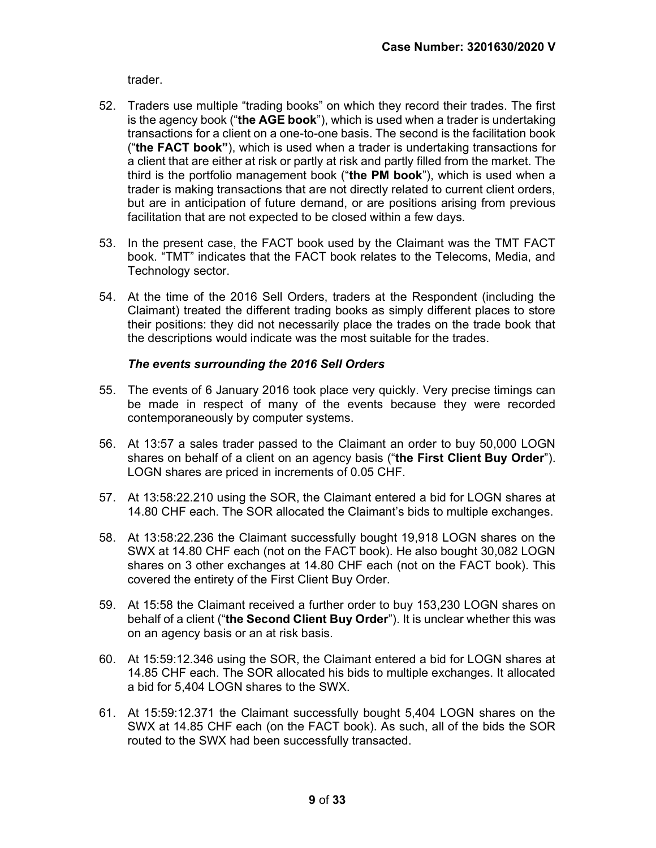trader.

- 52. Traders use multiple "trading books" on which they record their trades. The first is the agency book ("the AGE book"), which is used when a trader is undertaking transactions for a client on a one-to-one basis. The second is the facilitation book ("the FACT book"), which is used when a trader is undertaking transactions for a client that are either at risk or partly at risk and partly filled from the market. The third is the portfolio management book ("the PM book"), which is used when a trader is making transactions that are not directly related to current client orders, but are in anticipation of future demand, or are positions arising from previous facilitation that are not expected to be closed within a few days.
- 53. In the present case, the FACT book used by the Claimant was the TMT FACT book. "TMT" indicates that the FACT book relates to the Telecoms, Media, and Technology sector.
- 54. At the time of the 2016 Sell Orders, traders at the Respondent (including the Claimant) treated the different trading books as simply different places to store their positions: they did not necessarily place the trades on the trade book that the descriptions would indicate was the most suitable for the trades.

#### The events surrounding the 2016 Sell Orders

- 55. The events of 6 January 2016 took place very quickly. Very precise timings can be made in respect of many of the events because they were recorded contemporaneously by computer systems.
- 56. At 13:57 a sales trader passed to the Claimant an order to buy 50,000 LOGN shares on behalf of a client on an agency basis ("the First Client Buy Order"). LOGN shares are priced in increments of 0.05 CHF.
- 57. At 13:58:22.210 using the SOR, the Claimant entered a bid for LOGN shares at 14.80 CHF each. The SOR allocated the Claimant's bids to multiple exchanges.
- 58. At 13:58:22.236 the Claimant successfully bought 19,918 LOGN shares on the SWX at 14.80 CHF each (not on the FACT book). He also bought 30,082 LOGN shares on 3 other exchanges at 14.80 CHF each (not on the FACT book). This covered the entirety of the First Client Buy Order.
- 59. At 15:58 the Claimant received a further order to buy 153,230 LOGN shares on behalf of a client ("the Second Client Buy Order"). It is unclear whether this was on an agency basis or an at risk basis.
- 60. At 15:59:12.346 using the SOR, the Claimant entered a bid for LOGN shares at 14.85 CHF each. The SOR allocated his bids to multiple exchanges. It allocated a bid for 5,404 LOGN shares to the SWX.
- 61. At 15:59:12.371 the Claimant successfully bought 5,404 LOGN shares on the SWX at 14.85 CHF each (on the FACT book). As such, all of the bids the SOR routed to the SWX had been successfully transacted.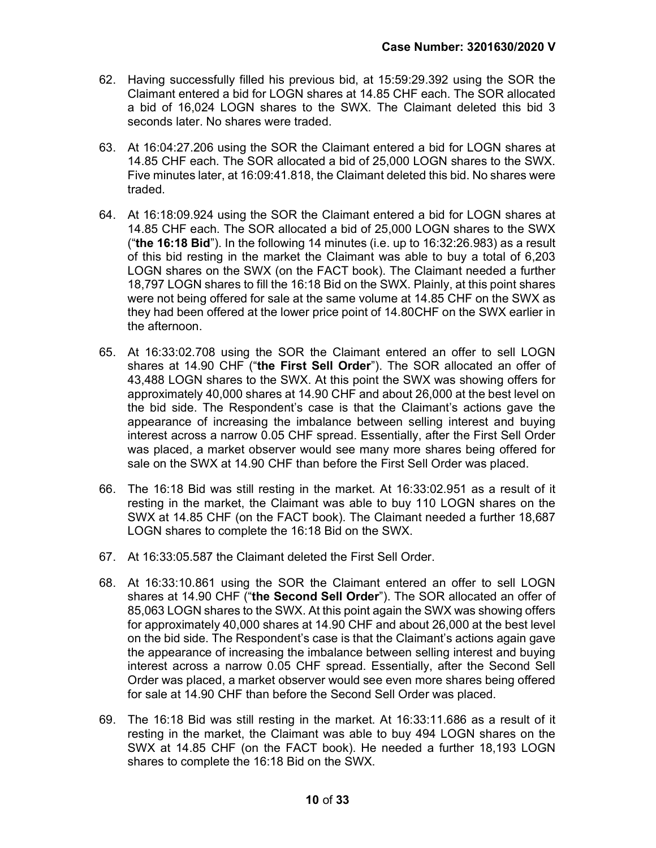- 62. Having successfully filled his previous bid, at 15:59:29.392 using the SOR the Claimant entered a bid for LOGN shares at 14.85 CHF each. The SOR allocated a bid of 16,024 LOGN shares to the SWX. The Claimant deleted this bid 3 seconds later. No shares were traded.
- 63. At 16:04:27.206 using the SOR the Claimant entered a bid for LOGN shares at 14.85 CHF each. The SOR allocated a bid of 25,000 LOGN shares to the SWX. Five minutes later, at 16:09:41.818, the Claimant deleted this bid. No shares were traded.
- 64. At 16:18:09.924 using the SOR the Claimant entered a bid for LOGN shares at 14.85 CHF each. The SOR allocated a bid of 25,000 LOGN shares to the SWX ("the 16:18 Bid"). In the following 14 minutes (i.e. up to  $16:32:26.983$ ) as a result of this bid resting in the market the Claimant was able to buy a total of 6,203 LOGN shares on the SWX (on the FACT book). The Claimant needed a further 18,797 LOGN shares to fill the 16:18 Bid on the SWX. Plainly, at this point shares were not being offered for sale at the same volume at 14.85 CHF on the SWX as they had been offered at the lower price point of 14.80CHF on the SWX earlier in the afternoon.
- 65. At 16:33:02.708 using the SOR the Claimant entered an offer to sell LOGN shares at 14.90 CHF ("the First Sell Order"). The SOR allocated an offer of 43,488 LOGN shares to the SWX. At this point the SWX was showing offers for approximately 40,000 shares at 14.90 CHF and about 26,000 at the best level on the bid side. The Respondent's case is that the Claimant's actions gave the appearance of increasing the imbalance between selling interest and buying interest across a narrow 0.05 CHF spread. Essentially, after the First Sell Order was placed, a market observer would see many more shares being offered for sale on the SWX at 14.90 CHF than before the First Sell Order was placed.
- 66. The 16:18 Bid was still resting in the market. At 16:33:02.951 as a result of it resting in the market, the Claimant was able to buy 110 LOGN shares on the SWX at 14.85 CHF (on the FACT book). The Claimant needed a further 18,687 LOGN shares to complete the 16:18 Bid on the SWX.
- 67. At 16:33:05.587 the Claimant deleted the First Sell Order.
- 68. At 16:33:10.861 using the SOR the Claimant entered an offer to sell LOGN shares at 14.90 CHF ("the Second Sell Order"). The SOR allocated an offer of 85,063 LOGN shares to the SWX. At this point again the SWX was showing offers for approximately 40,000 shares at 14.90 CHF and about 26,000 at the best level on the bid side. The Respondent's case is that the Claimant's actions again gave the appearance of increasing the imbalance between selling interest and buying interest across a narrow 0.05 CHF spread. Essentially, after the Second Sell Order was placed, a market observer would see even more shares being offered for sale at 14.90 CHF than before the Second Sell Order was placed.
- 69. The 16:18 Bid was still resting in the market. At 16:33:11.686 as a result of it resting in the market, the Claimant was able to buy 494 LOGN shares on the SWX at 14.85 CHF (on the FACT book). He needed a further 18,193 LOGN shares to complete the 16:18 Bid on the SWX.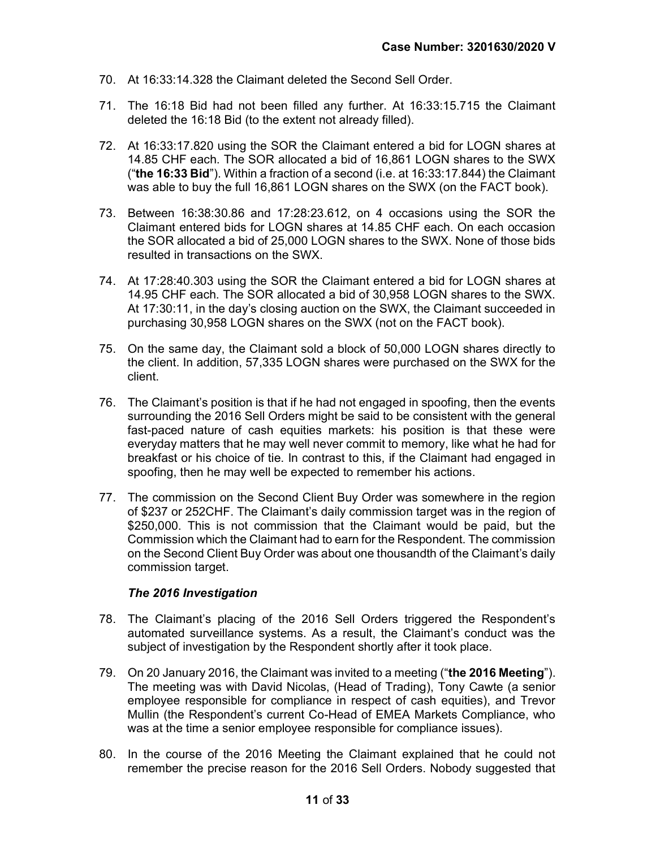- 70. At 16:33:14.328 the Claimant deleted the Second Sell Order.
- 71. The 16:18 Bid had not been filled any further. At 16:33:15.715 the Claimant deleted the 16:18 Bid (to the extent not already filled).
- 72. At 16:33:17.820 using the SOR the Claimant entered a bid for LOGN shares at 14.85 CHF each. The SOR allocated a bid of 16,861 LOGN shares to the SWX ("the  $16:33$  Bid"). Within a fraction of a second (i.e. at  $16:33:17.844$ ) the Claimant was able to buy the full 16,861 LOGN shares on the SWX (on the FACT book).
- 73. Between 16:38:30.86 and 17:28:23.612, on 4 occasions using the SOR the Claimant entered bids for LOGN shares at 14.85 CHF each. On each occasion the SOR allocated a bid of 25,000 LOGN shares to the SWX. None of those bids resulted in transactions on the SWX.
- 74. At 17:28:40.303 using the SOR the Claimant entered a bid for LOGN shares at 14.95 CHF each. The SOR allocated a bid of 30,958 LOGN shares to the SWX. At 17:30:11, in the day's closing auction on the SWX, the Claimant succeeded in purchasing 30,958 LOGN shares on the SWX (not on the FACT book).
- 75. On the same day, the Claimant sold a block of 50,000 LOGN shares directly to the client. In addition, 57,335 LOGN shares were purchased on the SWX for the client.
- 76. The Claimant's position is that if he had not engaged in spoofing, then the events surrounding the 2016 Sell Orders might be said to be consistent with the general fast-paced nature of cash equities markets: his position is that these were everyday matters that he may well never commit to memory, like what he had for breakfast or his choice of tie. In contrast to this, if the Claimant had engaged in spoofing, then he may well be expected to remember his actions.
- 77. The commission on the Second Client Buy Order was somewhere in the region of \$237 or 252CHF. The Claimant's daily commission target was in the region of \$250,000. This is not commission that the Claimant would be paid, but the Commission which the Claimant had to earn for the Respondent. The commission on the Second Client Buy Order was about one thousandth of the Claimant's daily commission target.

#### The 2016 Investigation

- 78. The Claimant's placing of the 2016 Sell Orders triggered the Respondent's automated surveillance systems. As a result, the Claimant's conduct was the subject of investigation by the Respondent shortly after it took place.
- 79. On 20 January 2016, the Claimant was invited to a meeting ("the 2016 Meeting"). The meeting was with David Nicolas, (Head of Trading), Tony Cawte (a senior employee responsible for compliance in respect of cash equities), and Trevor Mullin (the Respondent's current Co-Head of EMEA Markets Compliance, who was at the time a senior employee responsible for compliance issues).
- 80. In the course of the 2016 Meeting the Claimant explained that he could not remember the precise reason for the 2016 Sell Orders. Nobody suggested that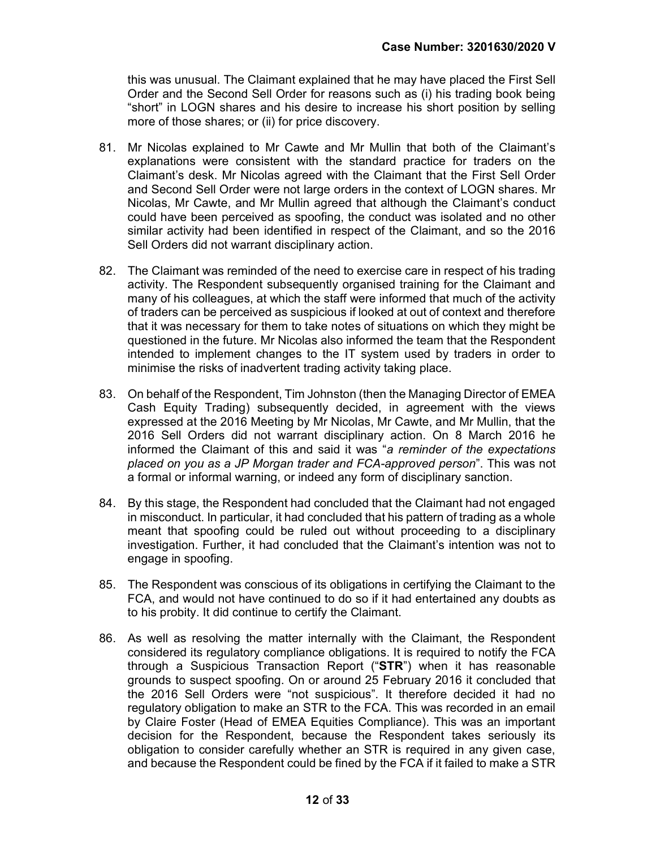this was unusual. The Claimant explained that he may have placed the First Sell Order and the Second Sell Order for reasons such as (i) his trading book being "short" in LOGN shares and his desire to increase his short position by selling more of those shares; or (ii) for price discovery.

- 81. Mr Nicolas explained to Mr Cawte and Mr Mullin that both of the Claimant's explanations were consistent with the standard practice for traders on the Claimant's desk. Mr Nicolas agreed with the Claimant that the First Sell Order and Second Sell Order were not large orders in the context of LOGN shares. Mr Nicolas, Mr Cawte, and Mr Mullin agreed that although the Claimant's conduct could have been perceived as spoofing, the conduct was isolated and no other similar activity had been identified in respect of the Claimant, and so the 2016 Sell Orders did not warrant disciplinary action.
- 82. The Claimant was reminded of the need to exercise care in respect of his trading activity. The Respondent subsequently organised training for the Claimant and many of his colleagues, at which the staff were informed that much of the activity of traders can be perceived as suspicious if looked at out of context and therefore that it was necessary for them to take notes of situations on which they might be questioned in the future. Mr Nicolas also informed the team that the Respondent intended to implement changes to the IT system used by traders in order to minimise the risks of inadvertent trading activity taking place.
- 83. On behalf of the Respondent, Tim Johnston (then the Managing Director of EMEA Cash Equity Trading) subsequently decided, in agreement with the views expressed at the 2016 Meeting by Mr Nicolas, Mr Cawte, and Mr Mullin, that the 2016 Sell Orders did not warrant disciplinary action. On 8 March 2016 he informed the Claimant of this and said it was "a reminder of the expectations placed on you as a JP Morgan trader and FCA-approved person". This was not a formal or informal warning, or indeed any form of disciplinary sanction.
- 84. By this stage, the Respondent had concluded that the Claimant had not engaged in misconduct. In particular, it had concluded that his pattern of trading as a whole meant that spoofing could be ruled out without proceeding to a disciplinary investigation. Further, it had concluded that the Claimant's intention was not to engage in spoofing.
- 85. The Respondent was conscious of its obligations in certifying the Claimant to the FCA, and would not have continued to do so if it had entertained any doubts as to his probity. It did continue to certify the Claimant.
- 86. As well as resolving the matter internally with the Claimant, the Respondent considered its regulatory compliance obligations. It is required to notify the FCA through a Suspicious Transaction Report ("STR") when it has reasonable grounds to suspect spoofing. On or around 25 February 2016 it concluded that the 2016 Sell Orders were "not suspicious". It therefore decided it had no regulatory obligation to make an STR to the FCA. This was recorded in an email by Claire Foster (Head of EMEA Equities Compliance). This was an important decision for the Respondent, because the Respondent takes seriously its obligation to consider carefully whether an STR is required in any given case, and because the Respondent could be fined by the FCA if it failed to make a STR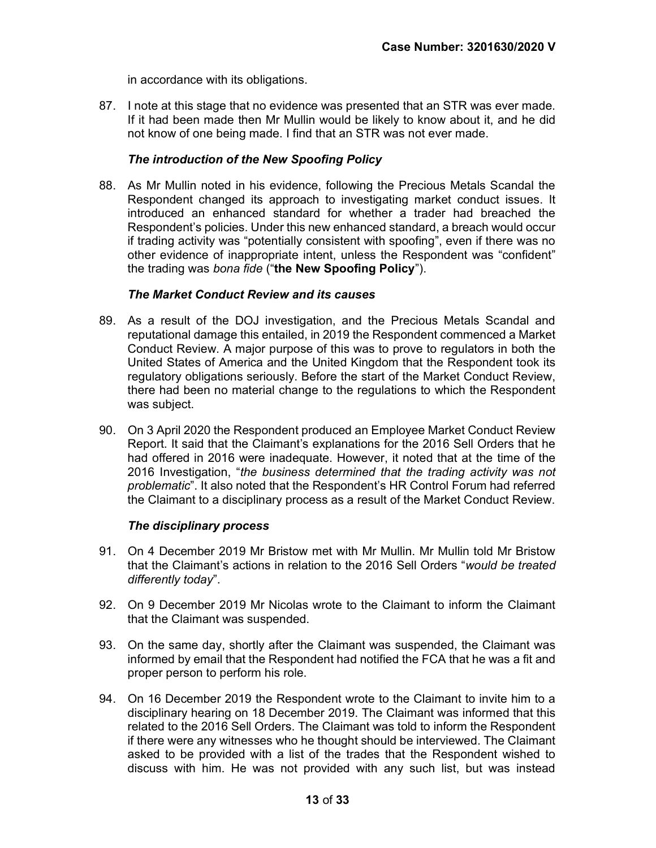in accordance with its obligations.

87. I note at this stage that no evidence was presented that an STR was ever made. If it had been made then Mr Mullin would be likely to know about it, and he did not know of one being made. I find that an STR was not ever made.

### The introduction of the New Spoofing Policy

88. As Mr Mullin noted in his evidence, following the Precious Metals Scandal the Respondent changed its approach to investigating market conduct issues. It introduced an enhanced standard for whether a trader had breached the Respondent's policies. Under this new enhanced standard, a breach would occur if trading activity was "potentially consistent with spoofing", even if there was no other evidence of inappropriate intent, unless the Respondent was "confident" the trading was bona fide ("the New Spoofing Policy").

#### The Market Conduct Review and its causes

- 89. As a result of the DOJ investigation, and the Precious Metals Scandal and reputational damage this entailed, in 2019 the Respondent commenced a Market Conduct Review. A major purpose of this was to prove to regulators in both the United States of America and the United Kingdom that the Respondent took its regulatory obligations seriously. Before the start of the Market Conduct Review, there had been no material change to the regulations to which the Respondent was subject.
- 90. On 3 April 2020 the Respondent produced an Employee Market Conduct Review Report. It said that the Claimant's explanations for the 2016 Sell Orders that he had offered in 2016 were inadequate. However, it noted that at the time of the 2016 Investigation, "the business determined that the trading activity was not problematic". It also noted that the Respondent's HR Control Forum had referred the Claimant to a disciplinary process as a result of the Market Conduct Review.

#### The disciplinary process

- 91. On 4 December 2019 Mr Bristow met with Mr Mullin. Mr Mullin told Mr Bristow that the Claimant's actions in relation to the 2016 Sell Orders "would be treated differently today".
- 92. On 9 December 2019 Mr Nicolas wrote to the Claimant to inform the Claimant that the Claimant was suspended.
- 93. On the same day, shortly after the Claimant was suspended, the Claimant was informed by email that the Respondent had notified the FCA that he was a fit and proper person to perform his role.
- 94. On 16 December 2019 the Respondent wrote to the Claimant to invite him to a disciplinary hearing on 18 December 2019. The Claimant was informed that this related to the 2016 Sell Orders. The Claimant was told to inform the Respondent if there were any witnesses who he thought should be interviewed. The Claimant asked to be provided with a list of the trades that the Respondent wished to discuss with him. He was not provided with any such list, but was instead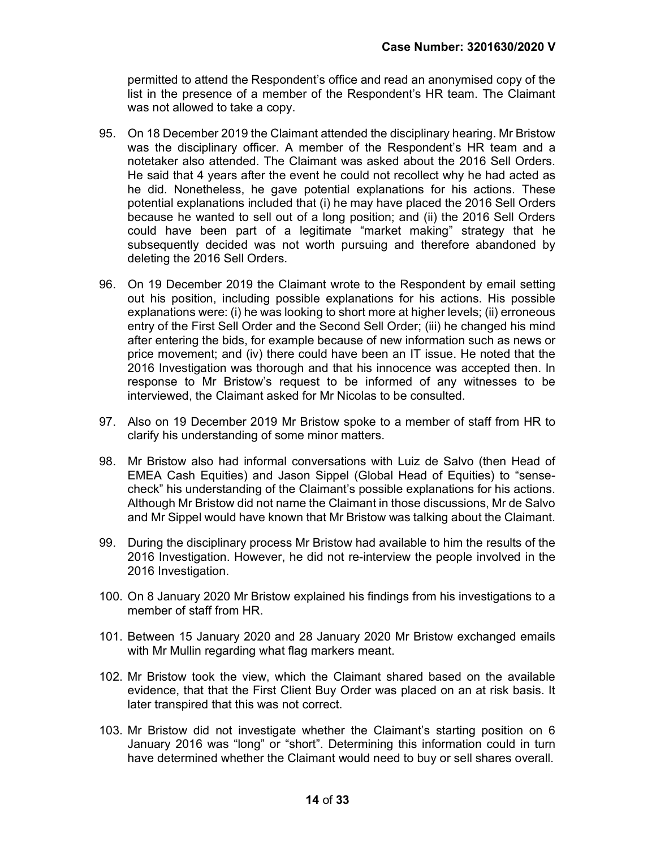permitted to attend the Respondent's office and read an anonymised copy of the list in the presence of a member of the Respondent's HR team. The Claimant was not allowed to take a copy.

- 95. On 18 December 2019 the Claimant attended the disciplinary hearing. Mr Bristow was the disciplinary officer. A member of the Respondent's HR team and a notetaker also attended. The Claimant was asked about the 2016 Sell Orders. He said that 4 years after the event he could not recollect why he had acted as he did. Nonetheless, he gave potential explanations for his actions. These potential explanations included that (i) he may have placed the 2016 Sell Orders because he wanted to sell out of a long position; and (ii) the 2016 Sell Orders could have been part of a legitimate "market making" strategy that he subsequently decided was not worth pursuing and therefore abandoned by deleting the 2016 Sell Orders.
- 96. On 19 December 2019 the Claimant wrote to the Respondent by email setting out his position, including possible explanations for his actions. His possible explanations were: (i) he was looking to short more at higher levels; (ii) erroneous entry of the First Sell Order and the Second Sell Order; (iii) he changed his mind after entering the bids, for example because of new information such as news or price movement; and (iv) there could have been an IT issue. He noted that the 2016 Investigation was thorough and that his innocence was accepted then. In response to Mr Bristow's request to be informed of any witnesses to be interviewed, the Claimant asked for Mr Nicolas to be consulted.
- 97. Also on 19 December 2019 Mr Bristow spoke to a member of staff from HR to clarify his understanding of some minor matters.
- 98. Mr Bristow also had informal conversations with Luiz de Salvo (then Head of EMEA Cash Equities) and Jason Sippel (Global Head of Equities) to "sensecheck" his understanding of the Claimant's possible explanations for his actions. Although Mr Bristow did not name the Claimant in those discussions, Mr de Salvo and Mr Sippel would have known that Mr Bristow was talking about the Claimant.
- 99. During the disciplinary process Mr Bristow had available to him the results of the 2016 Investigation. However, he did not re-interview the people involved in the 2016 Investigation.
- 100. On 8 January 2020 Mr Bristow explained his findings from his investigations to a member of staff from HR.
- 101. Between 15 January 2020 and 28 January 2020 Mr Bristow exchanged emails with Mr Mullin regarding what flag markers meant.
- 102. Mr Bristow took the view, which the Claimant shared based on the available evidence, that that the First Client Buy Order was placed on an at risk basis. It later transpired that this was not correct.
- 103. Mr Bristow did not investigate whether the Claimant's starting position on 6 January 2016 was "long" or "short". Determining this information could in turn have determined whether the Claimant would need to buy or sell shares overall.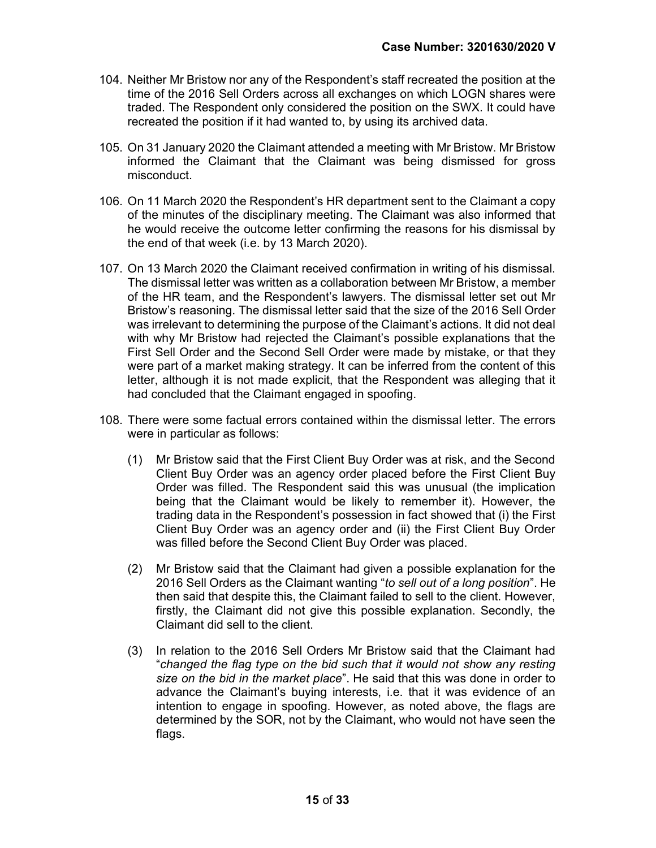- 104. Neither Mr Bristow nor any of the Respondent's staff recreated the position at the time of the 2016 Sell Orders across all exchanges on which LOGN shares were traded. The Respondent only considered the position on the SWX. It could have recreated the position if it had wanted to, by using its archived data.
- 105. On 31 January 2020 the Claimant attended a meeting with Mr Bristow. Mr Bristow informed the Claimant that the Claimant was being dismissed for gross misconduct.
- 106. On 11 March 2020 the Respondent's HR department sent to the Claimant a copy of the minutes of the disciplinary meeting. The Claimant was also informed that he would receive the outcome letter confirming the reasons for his dismissal by the end of that week (i.e. by 13 March 2020).
- 107. On 13 March 2020 the Claimant received confirmation in writing of his dismissal. The dismissal letter was written as a collaboration between Mr Bristow, a member of the HR team, and the Respondent's lawyers. The dismissal letter set out Mr Bristow's reasoning. The dismissal letter said that the size of the 2016 Sell Order was irrelevant to determining the purpose of the Claimant's actions. It did not deal with why Mr Bristow had rejected the Claimant's possible explanations that the First Sell Order and the Second Sell Order were made by mistake, or that they were part of a market making strategy. It can be inferred from the content of this letter, although it is not made explicit, that the Respondent was alleging that it had concluded that the Claimant engaged in spoofing.
- 108. There were some factual errors contained within the dismissal letter. The errors were in particular as follows:
	- (1) Mr Bristow said that the First Client Buy Order was at risk, and the Second Client Buy Order was an agency order placed before the First Client Buy Order was filled. The Respondent said this was unusual (the implication being that the Claimant would be likely to remember it). However, the trading data in the Respondent's possession in fact showed that (i) the First Client Buy Order was an agency order and (ii) the First Client Buy Order was filled before the Second Client Buy Order was placed.
	- (2) Mr Bristow said that the Claimant had given a possible explanation for the 2016 Sell Orders as the Claimant wanting "to sell out of a long position". He then said that despite this, the Claimant failed to sell to the client. However, firstly, the Claimant did not give this possible explanation. Secondly, the Claimant did sell to the client.
	- (3) In relation to the 2016 Sell Orders Mr Bristow said that the Claimant had "changed the flag type on the bid such that it would not show any resting size on the bid in the market place". He said that this was done in order to advance the Claimant's buying interests, i.e. that it was evidence of an intention to engage in spoofing. However, as noted above, the flags are determined by the SOR, not by the Claimant, who would not have seen the flags.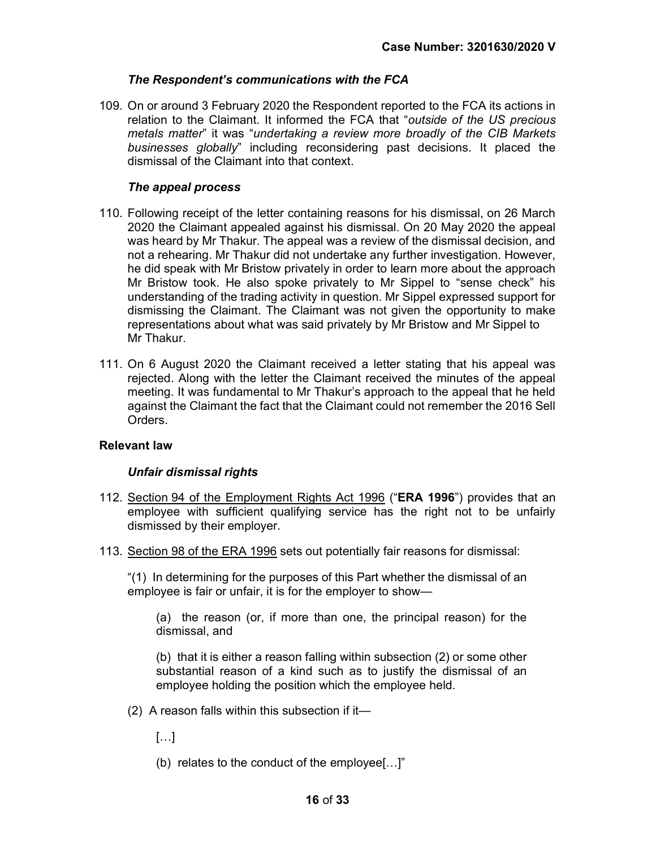#### The Respondent's communications with the FCA

109. On or around 3 February 2020 the Respondent reported to the FCA its actions in relation to the Claimant. It informed the FCA that "outside of the US precious metals matter" it was "undertaking a review more broadly of the CIB Markets businesses globally" including reconsidering past decisions. It placed the dismissal of the Claimant into that context.

### The appeal process

- 110. Following receipt of the letter containing reasons for his dismissal, on 26 March 2020 the Claimant appealed against his dismissal. On 20 May 2020 the appeal was heard by Mr Thakur. The appeal was a review of the dismissal decision, and not a rehearing. Mr Thakur did not undertake any further investigation. However, he did speak with Mr Bristow privately in order to learn more about the approach Mr Bristow took. He also spoke privately to Mr Sippel to "sense check" his understanding of the trading activity in question. Mr Sippel expressed support for dismissing the Claimant. The Claimant was not given the opportunity to make representations about what was said privately by Mr Bristow and Mr Sippel to Mr Thakur.
- 111. On 6 August 2020 the Claimant received a letter stating that his appeal was rejected. Along with the letter the Claimant received the minutes of the appeal meeting. It was fundamental to Mr Thakur's approach to the appeal that he held against the Claimant the fact that the Claimant could not remember the 2016 Sell Orders.

#### Relevant law

#### Unfair dismissal rights

- 112. Section 94 of the Employment Rights Act 1996 ("ERA 1996") provides that an employee with sufficient qualifying service has the right not to be unfairly dismissed by their employer.
- 113. Section 98 of the ERA 1996 sets out potentially fair reasons for dismissal:

"(1) In determining for the purposes of this Part whether the dismissal of an employee is fair or unfair, it is for the employer to show—

(a) the reason (or, if more than one, the principal reason) for the dismissal, and

(b) that it is either a reason falling within subsection (2) or some other substantial reason of a kind such as to justify the dismissal of an employee holding the position which the employee held.

- (2) A reason falls within this subsection if it—
	- […]
	- (b) relates to the conduct of the employee[…]"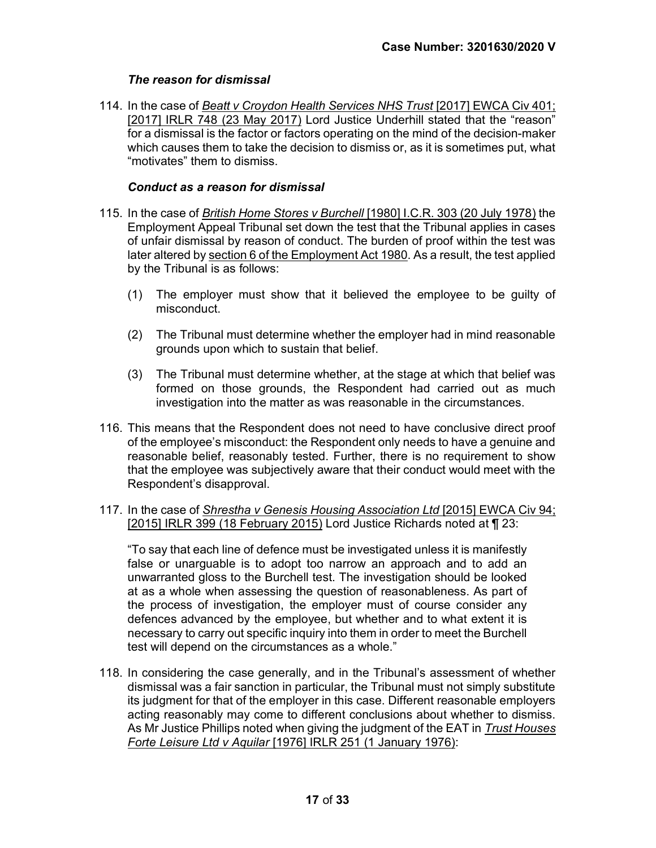## The reason for dismissal

114. In the case of Beatt v Croydon Health Services NHS Trust [2017] EWCA Civ 401; [2017] IRLR 748 (23 May 2017) Lord Justice Underhill stated that the "reason" for a dismissal is the factor or factors operating on the mind of the decision-maker which causes them to take the decision to dismiss or, as it is sometimes put, what "motivates" them to dismiss.

#### Conduct as a reason for dismissal

- 115. In the case of British Home Stores v Burchell [1980] I.C.R. 303 (20 July 1978) the Employment Appeal Tribunal set down the test that the Tribunal applies in cases of unfair dismissal by reason of conduct. The burden of proof within the test was later altered by section 6 of the Employment Act 1980. As a result, the test applied by the Tribunal is as follows:
	- (1) The employer must show that it believed the employee to be guilty of misconduct.
	- (2) The Tribunal must determine whether the employer had in mind reasonable grounds upon which to sustain that belief.
	- (3) The Tribunal must determine whether, at the stage at which that belief was formed on those grounds, the Respondent had carried out as much investigation into the matter as was reasonable in the circumstances.
- 116. This means that the Respondent does not need to have conclusive direct proof of the employee's misconduct: the Respondent only needs to have a genuine and reasonable belief, reasonably tested. Further, there is no requirement to show that the employee was subjectively aware that their conduct would meet with the Respondent's disapproval.
- 117. In the case of Shrestha v Genesis Housing Association Ltd [2015] EWCA Civ 94; [2015] IRLR 399 (18 February 2015) Lord Justice Richards noted at ¶ 23:

"To say that each line of defence must be investigated unless it is manifestly false or unarguable is to adopt too narrow an approach and to add an unwarranted gloss to the Burchell test. The investigation should be looked at as a whole when assessing the question of reasonableness. As part of the process of investigation, the employer must of course consider any defences advanced by the employee, but whether and to what extent it is necessary to carry out specific inquiry into them in order to meet the Burchell test will depend on the circumstances as a whole."

118. In considering the case generally, and in the Tribunal's assessment of whether dismissal was a fair sanction in particular, the Tribunal must not simply substitute its judgment for that of the employer in this case. Different reasonable employers acting reasonably may come to different conclusions about whether to dismiss. As Mr Justice Phillips noted when giving the judgment of the EAT in Trust Houses Forte Leisure Ltd v Aquilar [1976] IRLR 251 (1 January 1976):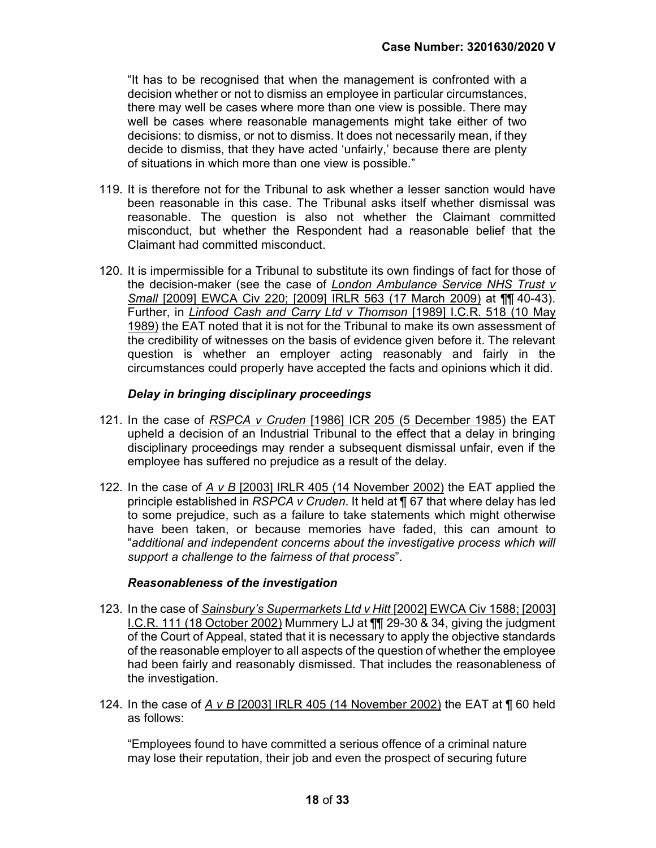"It has to be recognised that when the management is confronted with a decision whether or not to dismiss an employee in particular circumstances, there may well be cases where more than one view is possible. There may well be cases where reasonable managements might take either of two decisions: to dismiss, or not to dismiss. It does not necessarily mean, if they decide to dismiss, that they have acted 'unfairly,' because there are plenty of situations in which more than one view is possible."

- 119. It is therefore not for the Tribunal to ask whether a lesser sanction would have been reasonable in this case. The Tribunal asks itself whether dismissal was reasonable. The question is also not whether the Claimant committed misconduct, but whether the Respondent had a reasonable belief that the Claimant had committed misconduct.
- 120. It is impermissible for a Tribunal to substitute its own findings of fact for those of the decision-maker (see the case of London Ambulance Service NHS Trust v Small [2009] EWCA Civ 220; [2009] IRLR 563 (17 March 2009) at ¶¶ 40-43). Further, in *Linfood Cash and Carry Ltd v Thomson* [1989] I.C.R. 518 (10 May 1989) the EAT noted that it is not for the Tribunal to make its own assessment of the credibility of witnesses on the basis of evidence given before it. The relevant question is whether an employer acting reasonably and fairly in the circumstances could properly have accepted the facts and opinions which it did.

#### Delay in bringing disciplinary proceedings

- 121. In the case of RSPCA v Cruden [1986] ICR 205 (5 December 1985) the EAT upheld a decision of an Industrial Tribunal to the effect that a delay in bringing disciplinary proceedings may render a subsequent dismissal unfair, even if the employee has suffered no prejudice as a result of the delay.
- 122. In the case of  $A \vee B$  [2003] IRLR 405 (14 November 2002) the EAT applied the principle established in RSPCA v Cruden. It held at ¶ 67 that where delay has led to some prejudice, such as a failure to take statements which might otherwise have been taken, or because memories have faded, this can amount to "additional and independent concerns about the investigative process which will support a challenge to the fairness of that process".

#### Reasonableness of the investigation

- 123. In the case of Sainsbury's Supermarkets Ltd v Hitt [2002] EWCA Civ 1588; [2003] I.C.R. 111 (18 October 2002) Mummery LJ at ¶¶ 29-30 & 34, giving the judgment of the Court of Appeal, stated that it is necessary to apply the objective standards of the reasonable employer to all aspects of the question of whether the employee had been fairly and reasonably dismissed. That includes the reasonableness of the investigation.
- 124. In the case of A v B [2003] IRLR 405 (14 November 2002) the EAT at  $\P$  60 held as follows:

"Employees found to have committed a serious offence of a criminal nature may lose their reputation, their job and even the prospect of securing future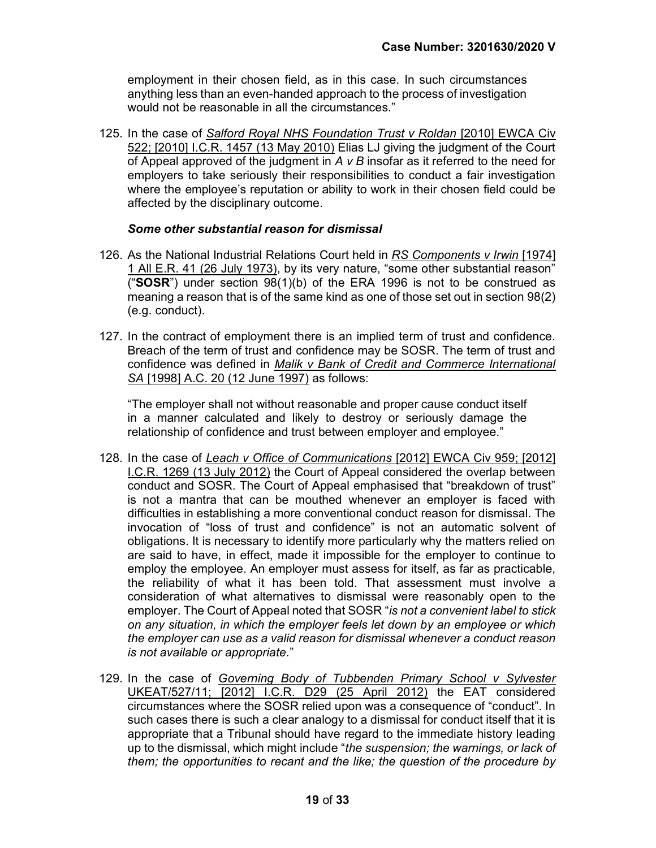employment in their chosen field, as in this case. In such circumstances anything less than an even-handed approach to the process of investigation would not be reasonable in all the circumstances."

125. In the case of Salford Royal NHS Foundation Trust v Roldan [2010] EWCA Civ 522; [2010] I.C.R. 1457 (13 May 2010) Elias LJ giving the judgment of the Court of Appeal approved of the judgment in  $A \vee B$  insofar as it referred to the need for employers to take seriously their responsibilities to conduct a fair investigation where the employee's reputation or ability to work in their chosen field could be affected by the disciplinary outcome.

#### Some other substantial reason for dismissal

- 126. As the National Industrial Relations Court held in RS Components v Irwin [1974] 1 All E.R. 41 (26 July 1973), by its very nature, "some other substantial reason" ("SOSR") under section  $98(1)(b)$  of the ERA 1996 is not to be construed as meaning a reason that is of the same kind as one of those set out in section 98(2) (e.g. conduct).
- 127. In the contract of employment there is an implied term of trust and confidence. Breach of the term of trust and confidence may be SOSR. The term of trust and confidence was defined in Malik v Bank of Credit and Commerce International SA [1998] A.C. 20 (12 June 1997) as follows:

"The employer shall not without reasonable and proper cause conduct itself in a manner calculated and likely to destroy or seriously damage the relationship of confidence and trust between employer and employee."

- 128. In the case of Leach v Office of Communications [2012] EWCA Civ 959; [2012] I.C.R. 1269 (13 July 2012) the Court of Appeal considered the overlap between conduct and SOSR. The Court of Appeal emphasised that "breakdown of trust" is not a mantra that can be mouthed whenever an employer is faced with difficulties in establishing a more conventional conduct reason for dismissal. The invocation of "loss of trust and confidence" is not an automatic solvent of obligations. It is necessary to identify more particularly why the matters relied on are said to have, in effect, made it impossible for the employer to continue to employ the employee. An employer must assess for itself, as far as practicable, the reliability of what it has been told. That assessment must involve a consideration of what alternatives to dismissal were reasonably open to the employer. The Court of Appeal noted that SOSR "is not a convenient label to stick on any situation, in which the employer feels let down by an employee or which the employer can use as a valid reason for dismissal whenever a conduct reason is not available or appropriate."
- 129. In the case of Governing Body of Tubbenden Primary School v Sylvester UKEAT/527/11; [2012] I.C.R. D29 (25 April 2012) the EAT considered circumstances where the SOSR relied upon was a consequence of "conduct". In such cases there is such a clear analogy to a dismissal for conduct itself that it is appropriate that a Tribunal should have regard to the immediate history leading up to the dismissal, which might include "the suspension; the warnings, or lack of them; the opportunities to recant and the like; the question of the procedure by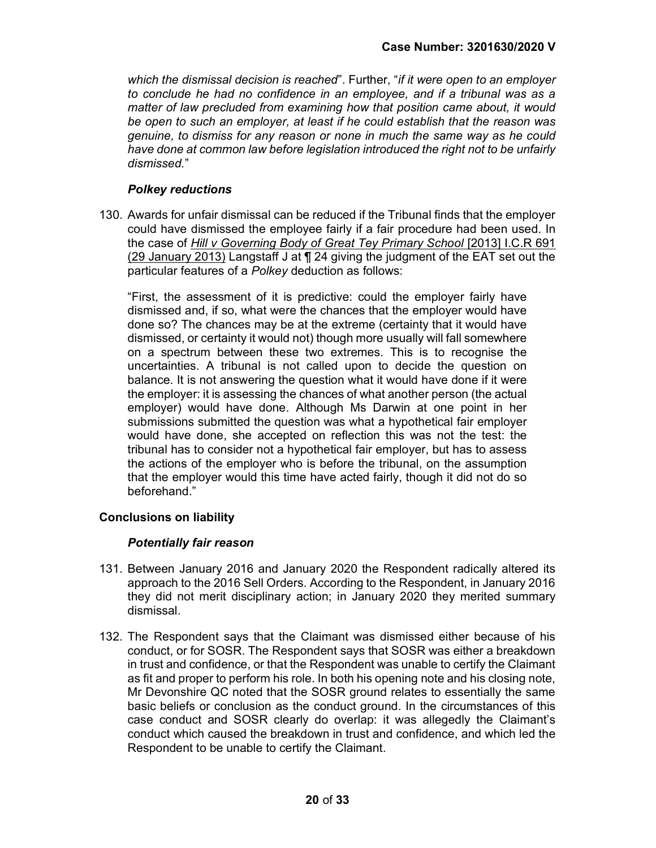which the dismissal decision is reached". Further, "if it were open to an employer to conclude he had no confidence in an employee, and if a tribunal was as a matter of law precluded from examining how that position came about, it would be open to such an employer, at least if he could establish that the reason was genuine, to dismiss for any reason or none in much the same way as he could have done at common law before legislation introduced the right not to be unfairly dismissed"

## Polkey reductions

130. Awards for unfair dismissal can be reduced if the Tribunal finds that the employer could have dismissed the employee fairly if a fair procedure had been used. In the case of Hill v Governing Body of Great Tey Primary School [2013] I.C.R 691 (29 January 2013) Langstaff J at ¶ 24 giving the judgment of the EAT set out the particular features of a Polkey deduction as follows:

"First, the assessment of it is predictive: could the employer fairly have dismissed and, if so, what were the chances that the employer would have done so? The chances may be at the extreme (certainty that it would have dismissed, or certainty it would not) though more usually will fall somewhere on a spectrum between these two extremes. This is to recognise the uncertainties. A tribunal is not called upon to decide the question on balance. It is not answering the question what it would have done if it were the employer: it is assessing the chances of what another person (the actual employer) would have done. Although Ms Darwin at one point in her submissions submitted the question was what a hypothetical fair employer would have done, she accepted on reflection this was not the test: the tribunal has to consider not a hypothetical fair employer, but has to assess the actions of the employer who is before the tribunal, on the assumption that the employer would this time have acted fairly, though it did not do so beforehand."

## Conclusions on liability

#### Potentially fair reason

- 131. Between January 2016 and January 2020 the Respondent radically altered its approach to the 2016 Sell Orders. According to the Respondent, in January 2016 they did not merit disciplinary action; in January 2020 they merited summary dismissal.
- 132. The Respondent says that the Claimant was dismissed either because of his conduct, or for SOSR. The Respondent says that SOSR was either a breakdown in trust and confidence, or that the Respondent was unable to certify the Claimant as fit and proper to perform his role. In both his opening note and his closing note, Mr Devonshire QC noted that the SOSR ground relates to essentially the same basic beliefs or conclusion as the conduct ground. In the circumstances of this case conduct and SOSR clearly do overlap: it was allegedly the Claimant's conduct which caused the breakdown in trust and confidence, and which led the Respondent to be unable to certify the Claimant.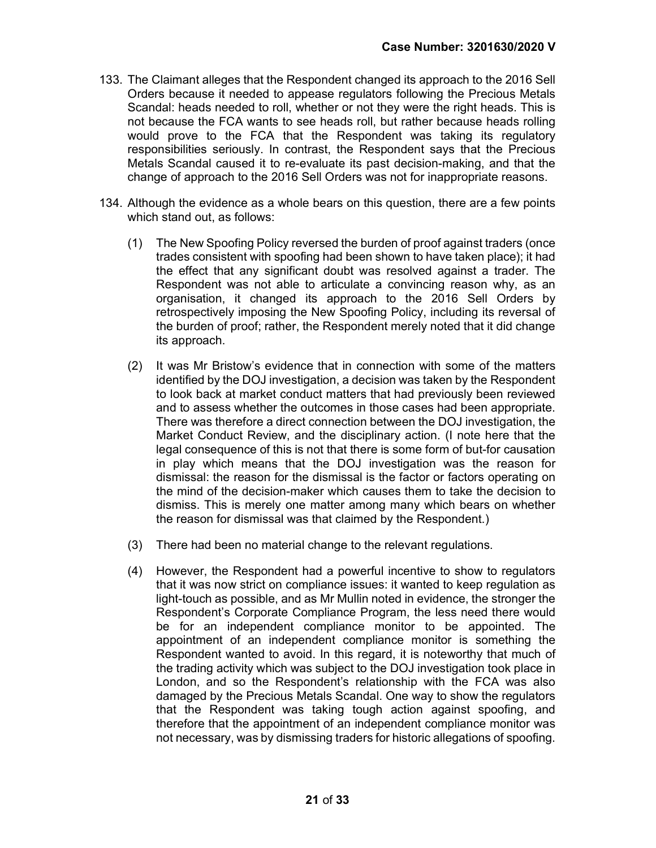- 133. The Claimant alleges that the Respondent changed its approach to the 2016 Sell Orders because it needed to appease regulators following the Precious Metals Scandal: heads needed to roll, whether or not they were the right heads. This is not because the FCA wants to see heads roll, but rather because heads rolling would prove to the FCA that the Respondent was taking its regulatory responsibilities seriously. In contrast, the Respondent says that the Precious Metals Scandal caused it to re-evaluate its past decision-making, and that the change of approach to the 2016 Sell Orders was not for inappropriate reasons.
- 134. Although the evidence as a whole bears on this question, there are a few points which stand out, as follows:
	- (1) The New Spoofing Policy reversed the burden of proof against traders (once trades consistent with spoofing had been shown to have taken place); it had the effect that any significant doubt was resolved against a trader. The Respondent was not able to articulate a convincing reason why, as an organisation, it changed its approach to the 2016 Sell Orders by retrospectively imposing the New Spoofing Policy, including its reversal of the burden of proof; rather, the Respondent merely noted that it did change its approach.
	- (2) It was Mr Bristow's evidence that in connection with some of the matters identified by the DOJ investigation, a decision was taken by the Respondent to look back at market conduct matters that had previously been reviewed and to assess whether the outcomes in those cases had been appropriate. There was therefore a direct connection between the DOJ investigation, the Market Conduct Review, and the disciplinary action. (I note here that the legal consequence of this is not that there is some form of but-for causation in play which means that the DOJ investigation was the reason for dismissal: the reason for the dismissal is the factor or factors operating on the mind of the decision-maker which causes them to take the decision to dismiss. This is merely one matter among many which bears on whether the reason for dismissal was that claimed by the Respondent.)
	- (3) There had been no material change to the relevant regulations.
	- (4) However, the Respondent had a powerful incentive to show to regulators that it was now strict on compliance issues: it wanted to keep regulation as light-touch as possible, and as Mr Mullin noted in evidence, the stronger the Respondent's Corporate Compliance Program, the less need there would be for an independent compliance monitor to be appointed. The appointment of an independent compliance monitor is something the Respondent wanted to avoid. In this regard, it is noteworthy that much of the trading activity which was subject to the DOJ investigation took place in London, and so the Respondent's relationship with the FCA was also damaged by the Precious Metals Scandal. One way to show the regulators that the Respondent was taking tough action against spoofing, and therefore that the appointment of an independent compliance monitor was not necessary, was by dismissing traders for historic allegations of spoofing.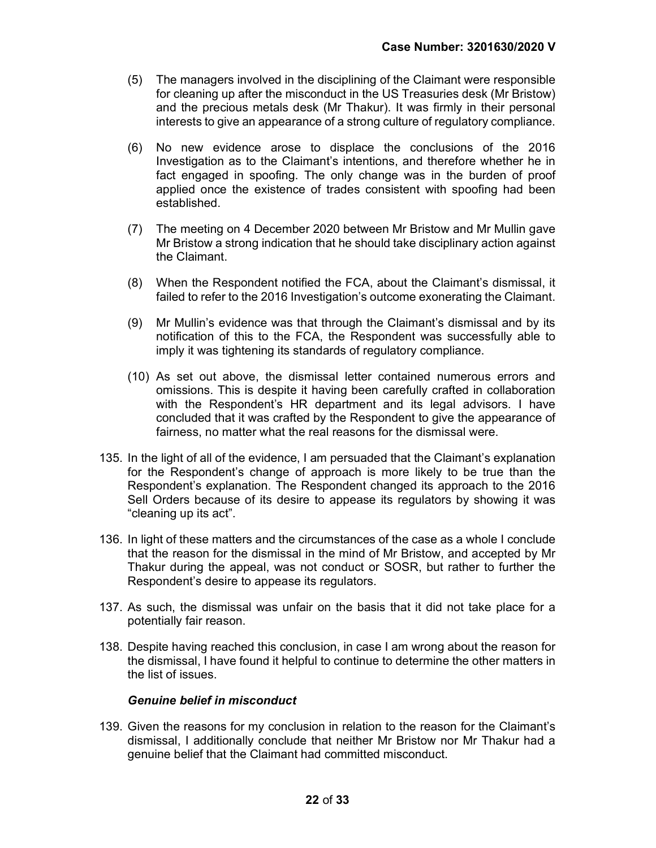- (5) The managers involved in the disciplining of the Claimant were responsible for cleaning up after the misconduct in the US Treasuries desk (Mr Bristow) and the precious metals desk (Mr Thakur). It was firmly in their personal interests to give an appearance of a strong culture of regulatory compliance.
- (6) No new evidence arose to displace the conclusions of the 2016 Investigation as to the Claimant's intentions, and therefore whether he in fact engaged in spoofing. The only change was in the burden of proof applied once the existence of trades consistent with spoofing had been established.
- (7) The meeting on 4 December 2020 between Mr Bristow and Mr Mullin gave Mr Bristow a strong indication that he should take disciplinary action against the Claimant.
- (8) When the Respondent notified the FCA, about the Claimant's dismissal, it failed to refer to the 2016 Investigation's outcome exonerating the Claimant.
- (9) Mr Mullin's evidence was that through the Claimant's dismissal and by its notification of this to the FCA, the Respondent was successfully able to imply it was tightening its standards of regulatory compliance.
- (10) As set out above, the dismissal letter contained numerous errors and omissions. This is despite it having been carefully crafted in collaboration with the Respondent's HR department and its legal advisors. I have concluded that it was crafted by the Respondent to give the appearance of fairness, no matter what the real reasons for the dismissal were.
- 135. In the light of all of the evidence, I am persuaded that the Claimant's explanation for the Respondent's change of approach is more likely to be true than the Respondent's explanation. The Respondent changed its approach to the 2016 Sell Orders because of its desire to appease its regulators by showing it was "cleaning up its act".
- 136. In light of these matters and the circumstances of the case as a whole I conclude that the reason for the dismissal in the mind of Mr Bristow, and accepted by Mr Thakur during the appeal, was not conduct or SOSR, but rather to further the Respondent's desire to appease its regulators.
- 137. As such, the dismissal was unfair on the basis that it did not take place for a potentially fair reason.
- 138. Despite having reached this conclusion, in case I am wrong about the reason for the dismissal, I have found it helpful to continue to determine the other matters in the list of issues.

#### Genuine belief in misconduct

139. Given the reasons for my conclusion in relation to the reason for the Claimant's dismissal, I additionally conclude that neither Mr Bristow nor Mr Thakur had a genuine belief that the Claimant had committed misconduct.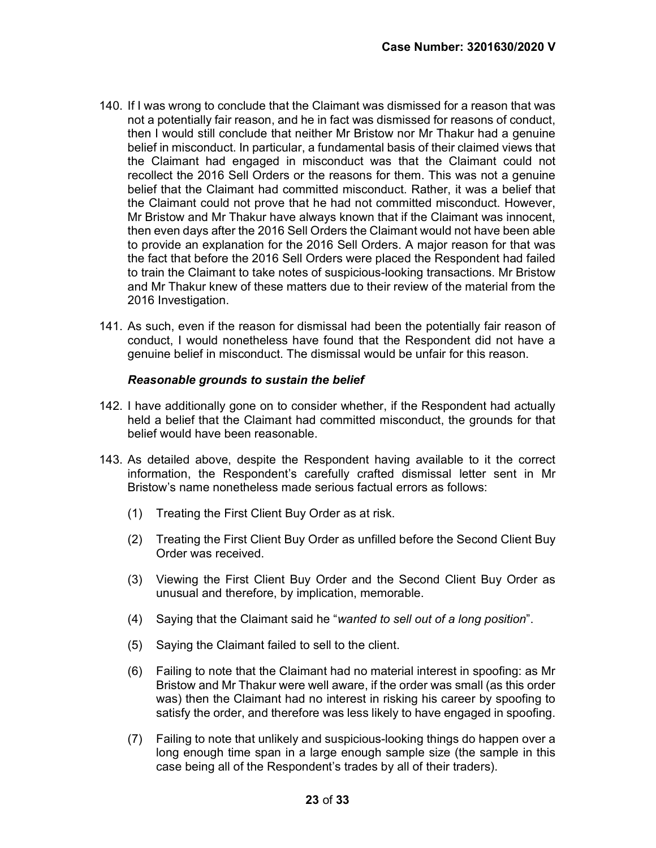- 140. If I was wrong to conclude that the Claimant was dismissed for a reason that was not a potentially fair reason, and he in fact was dismissed for reasons of conduct, then I would still conclude that neither Mr Bristow nor Mr Thakur had a genuine belief in misconduct. In particular, a fundamental basis of their claimed views that the Claimant had engaged in misconduct was that the Claimant could not recollect the 2016 Sell Orders or the reasons for them. This was not a genuine belief that the Claimant had committed misconduct. Rather, it was a belief that the Claimant could not prove that he had not committed misconduct. However, Mr Bristow and Mr Thakur have always known that if the Claimant was innocent, then even days after the 2016 Sell Orders the Claimant would not have been able to provide an explanation for the 2016 Sell Orders. A major reason for that was the fact that before the 2016 Sell Orders were placed the Respondent had failed to train the Claimant to take notes of suspicious-looking transactions. Mr Bristow and Mr Thakur knew of these matters due to their review of the material from the 2016 Investigation.
- 141. As such, even if the reason for dismissal had been the potentially fair reason of conduct, I would nonetheless have found that the Respondent did not have a genuine belief in misconduct. The dismissal would be unfair for this reason.

#### Reasonable grounds to sustain the belief

- 142. I have additionally gone on to consider whether, if the Respondent had actually held a belief that the Claimant had committed misconduct, the grounds for that belief would have been reasonable.
- 143. As detailed above, despite the Respondent having available to it the correct information, the Respondent's carefully crafted dismissal letter sent in Mr Bristow's name nonetheless made serious factual errors as follows:
	- (1) Treating the First Client Buy Order as at risk.
	- (2) Treating the First Client Buy Order as unfilled before the Second Client Buy Order was received.
	- (3) Viewing the First Client Buy Order and the Second Client Buy Order as unusual and therefore, by implication, memorable.
	- (4) Saying that the Claimant said he "wanted to sell out of a long position".
	- (5) Saying the Claimant failed to sell to the client.
	- (6) Failing to note that the Claimant had no material interest in spoofing: as Mr Bristow and Mr Thakur were well aware, if the order was small (as this order was) then the Claimant had no interest in risking his career by spoofing to satisfy the order, and therefore was less likely to have engaged in spoofing.
	- (7) Failing to note that unlikely and suspicious-looking things do happen over a long enough time span in a large enough sample size (the sample in this case being all of the Respondent's trades by all of their traders).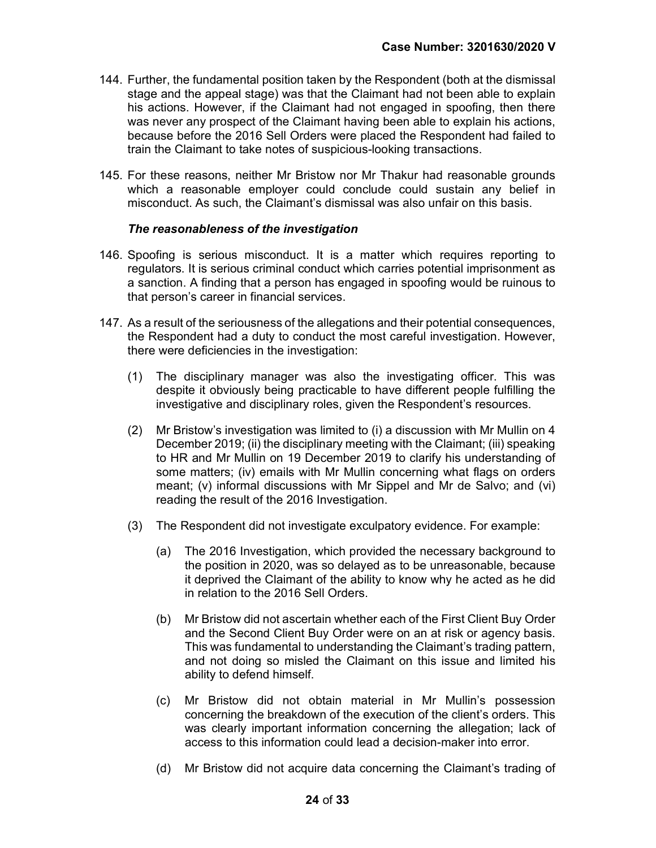- 144. Further, the fundamental position taken by the Respondent (both at the dismissal stage and the appeal stage) was that the Claimant had not been able to explain his actions. However, if the Claimant had not engaged in spoofing, then there was never any prospect of the Claimant having been able to explain his actions, because before the 2016 Sell Orders were placed the Respondent had failed to train the Claimant to take notes of suspicious-looking transactions.
- 145. For these reasons, neither Mr Bristow nor Mr Thakur had reasonable grounds which a reasonable employer could conclude could sustain any belief in misconduct. As such, the Claimant's dismissal was also unfair on this basis.

#### The reasonableness of the investigation

- 146. Spoofing is serious misconduct. It is a matter which requires reporting to regulators. It is serious criminal conduct which carries potential imprisonment as a sanction. A finding that a person has engaged in spoofing would be ruinous to that person's career in financial services.
- 147. As a result of the seriousness of the allegations and their potential consequences, the Respondent had a duty to conduct the most careful investigation. However, there were deficiencies in the investigation:
	- (1) The disciplinary manager was also the investigating officer. This was despite it obviously being practicable to have different people fulfilling the investigative and disciplinary roles, given the Respondent's resources.
	- (2) Mr Bristow's investigation was limited to (i) a discussion with Mr Mullin on 4 December 2019; (ii) the disciplinary meeting with the Claimant; (iii) speaking to HR and Mr Mullin on 19 December 2019 to clarify his understanding of some matters; (iv) emails with Mr Mullin concerning what flags on orders meant; (v) informal discussions with Mr Sippel and Mr de Salvo; and (vi) reading the result of the 2016 Investigation.
	- (3) The Respondent did not investigate exculpatory evidence. For example:
		- (a) The 2016 Investigation, which provided the necessary background to the position in 2020, was so delayed as to be unreasonable, because it deprived the Claimant of the ability to know why he acted as he did in relation to the 2016 Sell Orders.
		- (b) Mr Bristow did not ascertain whether each of the First Client Buy Order and the Second Client Buy Order were on an at risk or agency basis. This was fundamental to understanding the Claimant's trading pattern, and not doing so misled the Claimant on this issue and limited his ability to defend himself.
		- (c) Mr Bristow did not obtain material in Mr Mullin's possession concerning the breakdown of the execution of the client's orders. This was clearly important information concerning the allegation; lack of access to this information could lead a decision-maker into error.
		- (d) Mr Bristow did not acquire data concerning the Claimant's trading of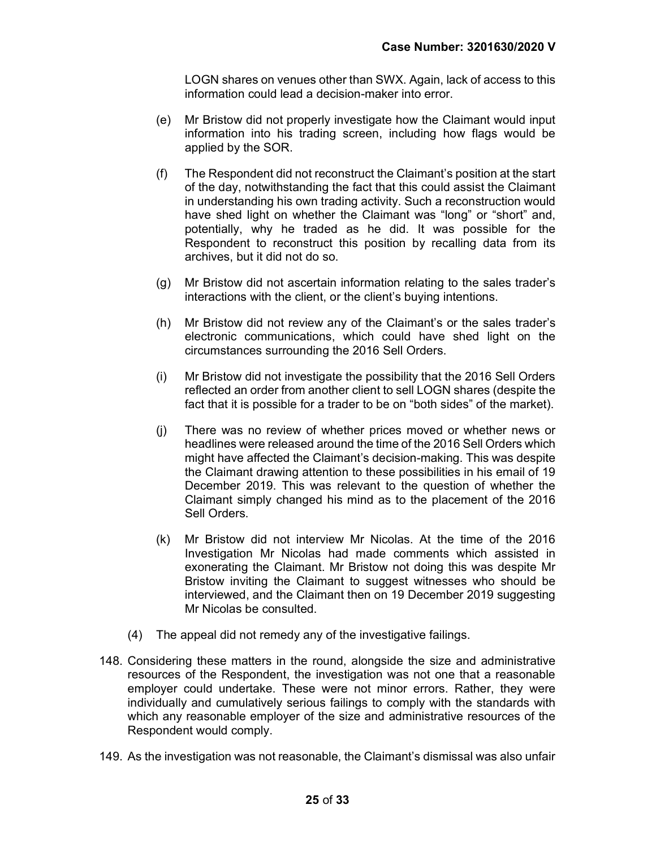LOGN shares on venues other than SWX. Again, lack of access to this information could lead a decision-maker into error.

- (e) Mr Bristow did not properly investigate how the Claimant would input information into his trading screen, including how flags would be applied by the SOR.
- (f) The Respondent did not reconstruct the Claimant's position at the start of the day, notwithstanding the fact that this could assist the Claimant in understanding his own trading activity. Such a reconstruction would have shed light on whether the Claimant was "long" or "short" and, potentially, why he traded as he did. It was possible for the Respondent to reconstruct this position by recalling data from its archives, but it did not do so.
- (g) Mr Bristow did not ascertain information relating to the sales trader's interactions with the client, or the client's buying intentions.
- (h) Mr Bristow did not review any of the Claimant's or the sales trader's electronic communications, which could have shed light on the circumstances surrounding the 2016 Sell Orders.
- (i) Mr Bristow did not investigate the possibility that the 2016 Sell Orders reflected an order from another client to sell LOGN shares (despite the fact that it is possible for a trader to be on "both sides" of the market).
- (j) There was no review of whether prices moved or whether news or headlines were released around the time of the 2016 Sell Orders which might have affected the Claimant's decision-making. This was despite the Claimant drawing attention to these possibilities in his email of 19 December 2019. This was relevant to the question of whether the Claimant simply changed his mind as to the placement of the 2016 Sell Orders.
- (k) Mr Bristow did not interview Mr Nicolas. At the time of the 2016 Investigation Mr Nicolas had made comments which assisted in exonerating the Claimant. Mr Bristow not doing this was despite Mr Bristow inviting the Claimant to suggest witnesses who should be interviewed, and the Claimant then on 19 December 2019 suggesting Mr Nicolas be consulted.
- (4) The appeal did not remedy any of the investigative failings.
- 148. Considering these matters in the round, alongside the size and administrative resources of the Respondent, the investigation was not one that a reasonable employer could undertake. These were not minor errors. Rather, they were individually and cumulatively serious failings to comply with the standards with which any reasonable employer of the size and administrative resources of the Respondent would comply.
- 149. As the investigation was not reasonable, the Claimant's dismissal was also unfair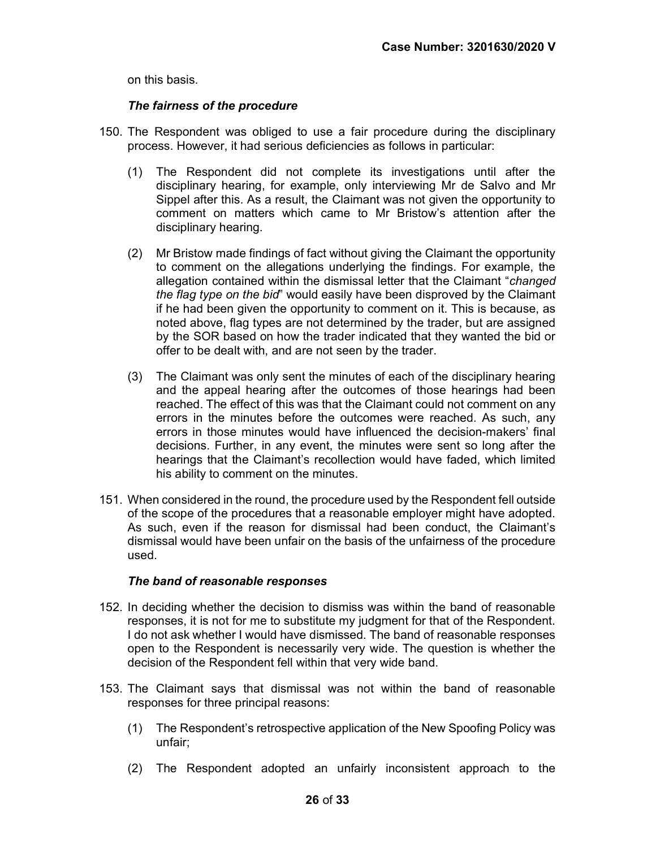on this basis.

#### The fairness of the procedure

- 150. The Respondent was obliged to use a fair procedure during the disciplinary process. However, it had serious deficiencies as follows in particular:
	- (1) The Respondent did not complete its investigations until after the disciplinary hearing, for example, only interviewing Mr de Salvo and Mr Sippel after this. As a result, the Claimant was not given the opportunity to comment on matters which came to Mr Bristow's attention after the disciplinary hearing.
	- (2) Mr Bristow made findings of fact without giving the Claimant the opportunity to comment on the allegations underlying the findings. For example, the allegation contained within the dismissal letter that the Claimant "changed the flag type on the bid" would easily have been disproved by the Claimant if he had been given the opportunity to comment on it. This is because, as noted above, flag types are not determined by the trader, but are assigned by the SOR based on how the trader indicated that they wanted the bid or offer to be dealt with, and are not seen by the trader.
	- (3) The Claimant was only sent the minutes of each of the disciplinary hearing and the appeal hearing after the outcomes of those hearings had been reached. The effect of this was that the Claimant could not comment on any errors in the minutes before the outcomes were reached. As such, any errors in those minutes would have influenced the decision-makers' final decisions. Further, in any event, the minutes were sent so long after the hearings that the Claimant's recollection would have faded, which limited his ability to comment on the minutes.
- 151. When considered in the round, the procedure used by the Respondent fell outside of the scope of the procedures that a reasonable employer might have adopted. As such, even if the reason for dismissal had been conduct, the Claimant's dismissal would have been unfair on the basis of the unfairness of the procedure used.

#### The band of reasonable responses

- 152. In deciding whether the decision to dismiss was within the band of reasonable responses, it is not for me to substitute my judgment for that of the Respondent. I do not ask whether I would have dismissed. The band of reasonable responses open to the Respondent is necessarily very wide. The question is whether the decision of the Respondent fell within that very wide band.
- 153. The Claimant says that dismissal was not within the band of reasonable responses for three principal reasons:
	- (1) The Respondent's retrospective application of the New Spoofing Policy was unfair;
	- (2) The Respondent adopted an unfairly inconsistent approach to the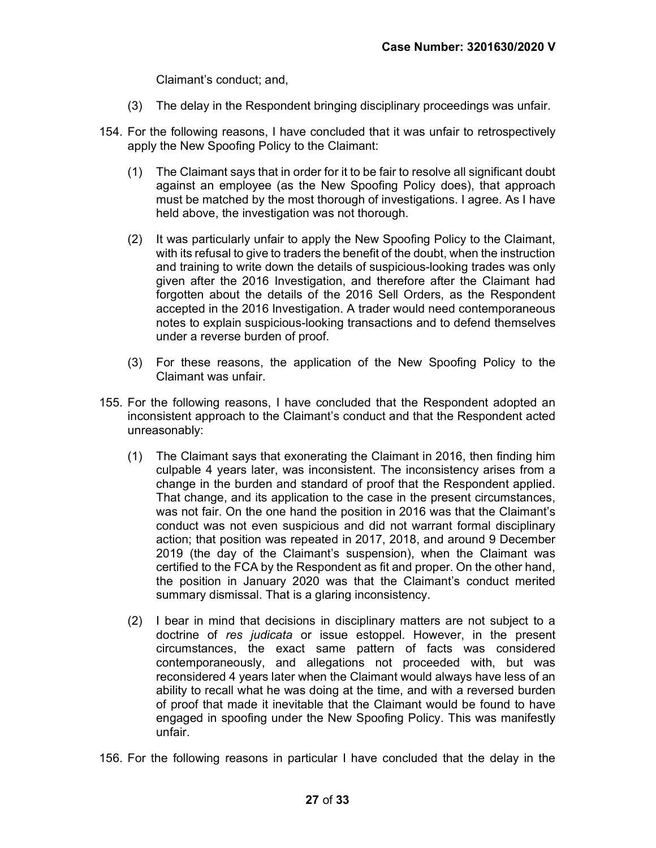Claimant's conduct; and,

- (3) The delay in the Respondent bringing disciplinary proceedings was unfair.
- 154. For the following reasons, I have concluded that it was unfair to retrospectively apply the New Spoofing Policy to the Claimant:
	- (1) The Claimant says that in order for it to be fair to resolve all significant doubt against an employee (as the New Spoofing Policy does), that approach must be matched by the most thorough of investigations. I agree. As I have held above, the investigation was not thorough.
	- (2) It was particularly unfair to apply the New Spoofing Policy to the Claimant, with its refusal to give to traders the benefit of the doubt, when the instruction and training to write down the details of suspicious-looking trades was only given after the 2016 Investigation, and therefore after the Claimant had forgotten about the details of the 2016 Sell Orders, as the Respondent accepted in the 2016 Investigation. A trader would need contemporaneous notes to explain suspicious-looking transactions and to defend themselves under a reverse burden of proof.
	- (3) For these reasons, the application of the New Spoofing Policy to the Claimant was unfair.
- 155. For the following reasons, I have concluded that the Respondent adopted an inconsistent approach to the Claimant's conduct and that the Respondent acted unreasonably:
	- (1) The Claimant says that exonerating the Claimant in 2016, then finding him culpable 4 years later, was inconsistent. The inconsistency arises from a change in the burden and standard of proof that the Respondent applied. That change, and its application to the case in the present circumstances, was not fair. On the one hand the position in 2016 was that the Claimant's conduct was not even suspicious and did not warrant formal disciplinary action; that position was repeated in 2017, 2018, and around 9 December 2019 (the day of the Claimant's suspension), when the Claimant was certified to the FCA by the Respondent as fit and proper. On the other hand, the position in January 2020 was that the Claimant's conduct merited summary dismissal. That is a glaring inconsistency.
	- (2) I bear in mind that decisions in disciplinary matters are not subject to a doctrine of res judicata or issue estoppel. However, in the present circumstances, the exact same pattern of facts was considered contemporaneously, and allegations not proceeded with, but was reconsidered 4 years later when the Claimant would always have less of an ability to recall what he was doing at the time, and with a reversed burden of proof that made it inevitable that the Claimant would be found to have engaged in spoofing under the New Spoofing Policy. This was manifestly unfair.
- 156. For the following reasons in particular I have concluded that the delay in the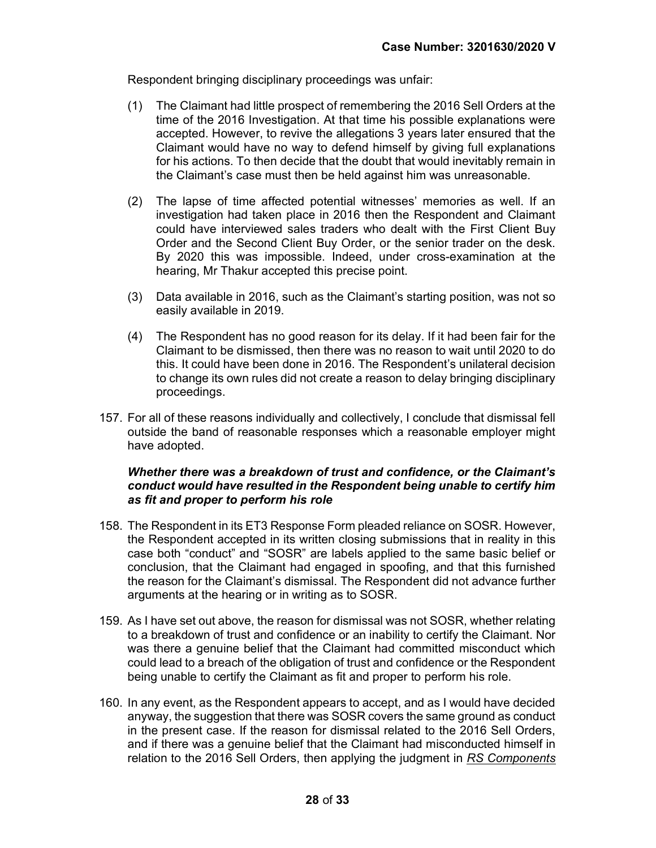Respondent bringing disciplinary proceedings was unfair:

- (1) The Claimant had little prospect of remembering the 2016 Sell Orders at the time of the 2016 Investigation. At that time his possible explanations were accepted. However, to revive the allegations 3 years later ensured that the Claimant would have no way to defend himself by giving full explanations for his actions. To then decide that the doubt that would inevitably remain in the Claimant's case must then be held against him was unreasonable.
- (2) The lapse of time affected potential witnesses' memories as well. If an investigation had taken place in 2016 then the Respondent and Claimant could have interviewed sales traders who dealt with the First Client Buy Order and the Second Client Buy Order, or the senior trader on the desk. By 2020 this was impossible. Indeed, under cross-examination at the hearing, Mr Thakur accepted this precise point.
- (3) Data available in 2016, such as the Claimant's starting position, was not so easily available in 2019.
- (4) The Respondent has no good reason for its delay. If it had been fair for the Claimant to be dismissed, then there was no reason to wait until 2020 to do this. It could have been done in 2016. The Respondent's unilateral decision to change its own rules did not create a reason to delay bringing disciplinary proceedings.
- 157. For all of these reasons individually and collectively, I conclude that dismissal fell outside the band of reasonable responses which a reasonable employer might have adopted.

#### Whether there was a breakdown of trust and confidence, or the Claimant's conduct would have resulted in the Respondent being unable to certify him as fit and proper to perform his role

- 158. The Respondent in its ET3 Response Form pleaded reliance on SOSR. However, the Respondent accepted in its written closing submissions that in reality in this case both "conduct" and "SOSR" are labels applied to the same basic belief or conclusion, that the Claimant had engaged in spoofing, and that this furnished the reason for the Claimant's dismissal. The Respondent did not advance further arguments at the hearing or in writing as to SOSR.
- 159. As I have set out above, the reason for dismissal was not SOSR, whether relating to a breakdown of trust and confidence or an inability to certify the Claimant. Nor was there a genuine belief that the Claimant had committed misconduct which could lead to a breach of the obligation of trust and confidence or the Respondent being unable to certify the Claimant as fit and proper to perform his role.
- 160. In any event, as the Respondent appears to accept, and as I would have decided anyway, the suggestion that there was SOSR covers the same ground as conduct in the present case. If the reason for dismissal related to the 2016 Sell Orders, and if there was a genuine belief that the Claimant had misconducted himself in relation to the 2016 Sell Orders, then applying the judgment in RS Components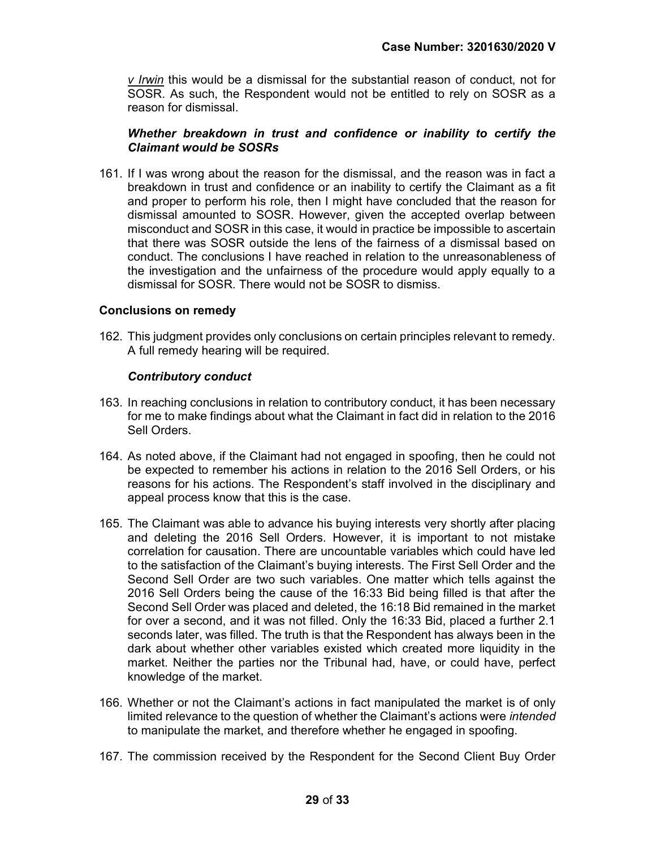v Irwin this would be a dismissal for the substantial reason of conduct, not for SOSR. As such, the Respondent would not be entitled to rely on SOSR as a reason for dismissal.

#### Whether breakdown in trust and confidence or inability to certify the Claimant would be SOSRs

161. If I was wrong about the reason for the dismissal, and the reason was in fact a breakdown in trust and confidence or an inability to certify the Claimant as a fit and proper to perform his role, then I might have concluded that the reason for dismissal amounted to SOSR. However, given the accepted overlap between misconduct and SOSR in this case, it would in practice be impossible to ascertain that there was SOSR outside the lens of the fairness of a dismissal based on conduct. The conclusions I have reached in relation to the unreasonableness of the investigation and the unfairness of the procedure would apply equally to a dismissal for SOSR. There would not be SOSR to dismiss.

#### Conclusions on remedy

162. This judgment provides only conclusions on certain principles relevant to remedy. A full remedy hearing will be required.

#### Contributory conduct

- 163. In reaching conclusions in relation to contributory conduct, it has been necessary for me to make findings about what the Claimant in fact did in relation to the 2016 Sell Orders.
- 164. As noted above, if the Claimant had not engaged in spoofing, then he could not be expected to remember his actions in relation to the 2016 Sell Orders, or his reasons for his actions. The Respondent's staff involved in the disciplinary and appeal process know that this is the case.
- 165. The Claimant was able to advance his buying interests very shortly after placing and deleting the 2016 Sell Orders. However, it is important to not mistake correlation for causation. There are uncountable variables which could have led to the satisfaction of the Claimant's buying interests. The First Sell Order and the Second Sell Order are two such variables. One matter which tells against the 2016 Sell Orders being the cause of the 16:33 Bid being filled is that after the Second Sell Order was placed and deleted, the 16:18 Bid remained in the market for over a second, and it was not filled. Only the 16:33 Bid, placed a further 2.1 seconds later, was filled. The truth is that the Respondent has always been in the dark about whether other variables existed which created more liquidity in the market. Neither the parties nor the Tribunal had, have, or could have, perfect knowledge of the market.
- 166. Whether or not the Claimant's actions in fact manipulated the market is of only limited relevance to the question of whether the Claimant's actions were intended to manipulate the market, and therefore whether he engaged in spoofing.
- 167. The commission received by the Respondent for the Second Client Buy Order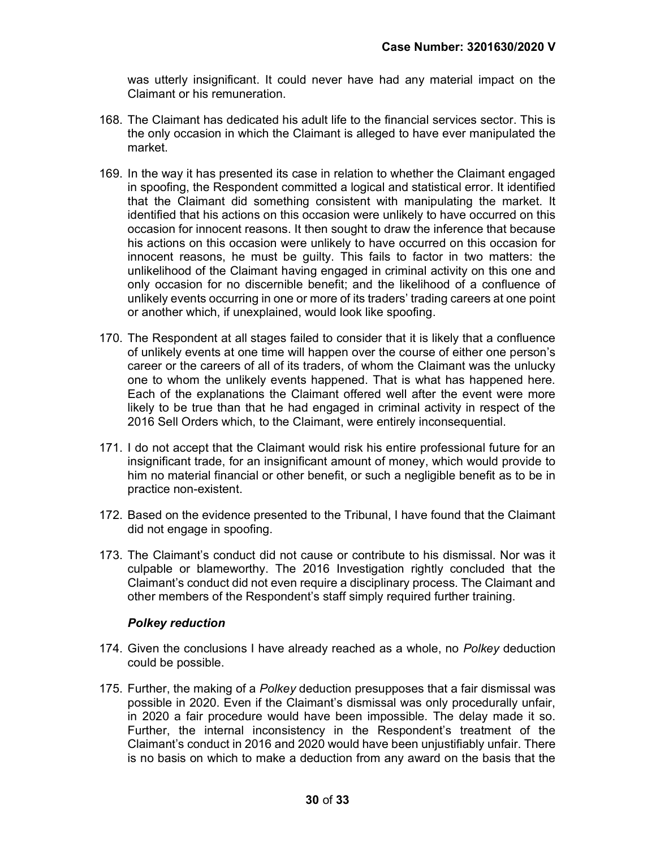was utterly insignificant. It could never have had any material impact on the Claimant or his remuneration.

- 168. The Claimant has dedicated his adult life to the financial services sector. This is the only occasion in which the Claimant is alleged to have ever manipulated the market.
- 169. In the way it has presented its case in relation to whether the Claimant engaged in spoofing, the Respondent committed a logical and statistical error. It identified that the Claimant did something consistent with manipulating the market. It identified that his actions on this occasion were unlikely to have occurred on this occasion for innocent reasons. It then sought to draw the inference that because his actions on this occasion were unlikely to have occurred on this occasion for innocent reasons, he must be guilty. This fails to factor in two matters: the unlikelihood of the Claimant having engaged in criminal activity on this one and only occasion for no discernible benefit; and the likelihood of a confluence of unlikely events occurring in one or more of its traders' trading careers at one point or another which, if unexplained, would look like spoofing.
- 170. The Respondent at all stages failed to consider that it is likely that a confluence of unlikely events at one time will happen over the course of either one person's career or the careers of all of its traders, of whom the Claimant was the unlucky one to whom the unlikely events happened. That is what has happened here. Each of the explanations the Claimant offered well after the event were more likely to be true than that he had engaged in criminal activity in respect of the 2016 Sell Orders which, to the Claimant, were entirely inconsequential.
- 171. I do not accept that the Claimant would risk his entire professional future for an insignificant trade, for an insignificant amount of money, which would provide to him no material financial or other benefit, or such a negligible benefit as to be in practice non-existent.
- 172. Based on the evidence presented to the Tribunal, I have found that the Claimant did not engage in spoofing.
- 173. The Claimant's conduct did not cause or contribute to his dismissal. Nor was it culpable or blameworthy. The 2016 Investigation rightly concluded that the Claimant's conduct did not even require a disciplinary process. The Claimant and other members of the Respondent's staff simply required further training.

#### Polkey reduction

- 174. Given the conclusions I have already reached as a whole, no Polkey deduction could be possible.
- 175. Further, the making of a Polkey deduction presupposes that a fair dismissal was possible in 2020. Even if the Claimant's dismissal was only procedurally unfair, in 2020 a fair procedure would have been impossible. The delay made it so. Further, the internal inconsistency in the Respondent's treatment of the Claimant's conduct in 2016 and 2020 would have been unjustifiably unfair. There is no basis on which to make a deduction from any award on the basis that the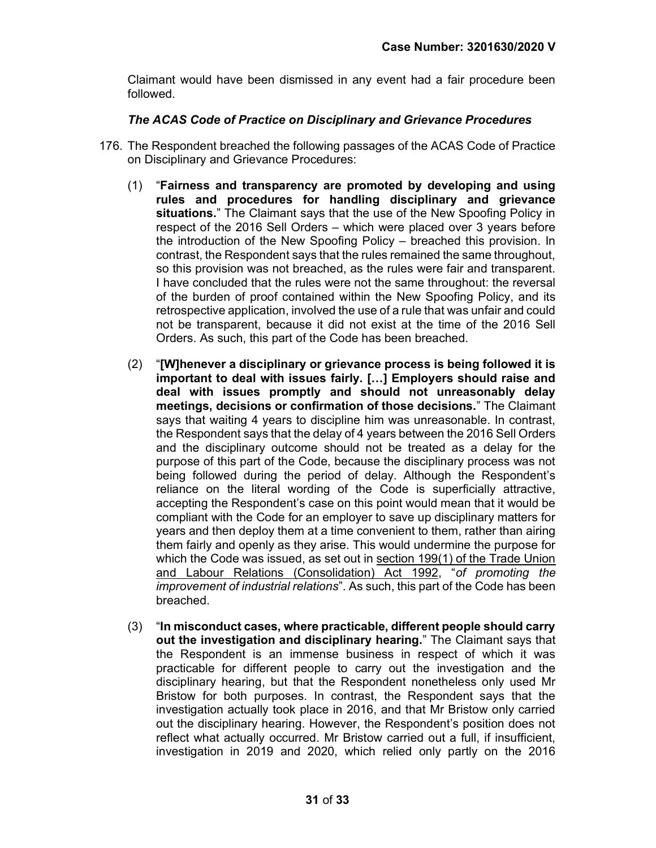Claimant would have been dismissed in any event had a fair procedure been followed.

## The ACAS Code of Practice on Disciplinary and Grievance Procedures

- 176. The Respondent breached the following passages of the ACAS Code of Practice on Disciplinary and Grievance Procedures:
	- (1) "Fairness and transparency are promoted by developing and using rules and procedures for handling disciplinary and grievance situations." The Claimant says that the use of the New Spoofing Policy in respect of the 2016 Sell Orders – which were placed over 3 years before the introduction of the New Spoofing Policy – breached this provision. In contrast, the Respondent says that the rules remained the same throughout, so this provision was not breached, as the rules were fair and transparent. I have concluded that the rules were not the same throughout: the reversal of the burden of proof contained within the New Spoofing Policy, and its retrospective application, involved the use of a rule that was unfair and could not be transparent, because it did not exist at the time of the 2016 Sell Orders. As such, this part of the Code has been breached.
	- (2) "[W]henever a disciplinary or grievance process is being followed it is important to deal with issues fairly. […] Employers should raise and deal with issues promptly and should not unreasonably delay meetings, decisions or confirmation of those decisions." The Claimant says that waiting 4 years to discipline him was unreasonable. In contrast, the Respondent says that the delay of 4 years between the 2016 Sell Orders and the disciplinary outcome should not be treated as a delay for the purpose of this part of the Code, because the disciplinary process was not being followed during the period of delay. Although the Respondent's reliance on the literal wording of the Code is superficially attractive, accepting the Respondent's case on this point would mean that it would be compliant with the Code for an employer to save up disciplinary matters for years and then deploy them at a time convenient to them, rather than airing them fairly and openly as they arise. This would undermine the purpose for which the Code was issued, as set out in section 199(1) of the Trade Union and Labour Relations (Consolidation) Act 1992, "of promoting the improvement of industrial relations". As such, this part of the Code has been breached.
	- (3) "In misconduct cases, where practicable, different people should carry out the investigation and disciplinary hearing." The Claimant says that the Respondent is an immense business in respect of which it was practicable for different people to carry out the investigation and the disciplinary hearing, but that the Respondent nonetheless only used Mr Bristow for both purposes. In contrast, the Respondent says that the investigation actually took place in 2016, and that Mr Bristow only carried out the disciplinary hearing. However, the Respondent's position does not reflect what actually occurred. Mr Bristow carried out a full, if insufficient, investigation in 2019 and 2020, which relied only partly on the 2016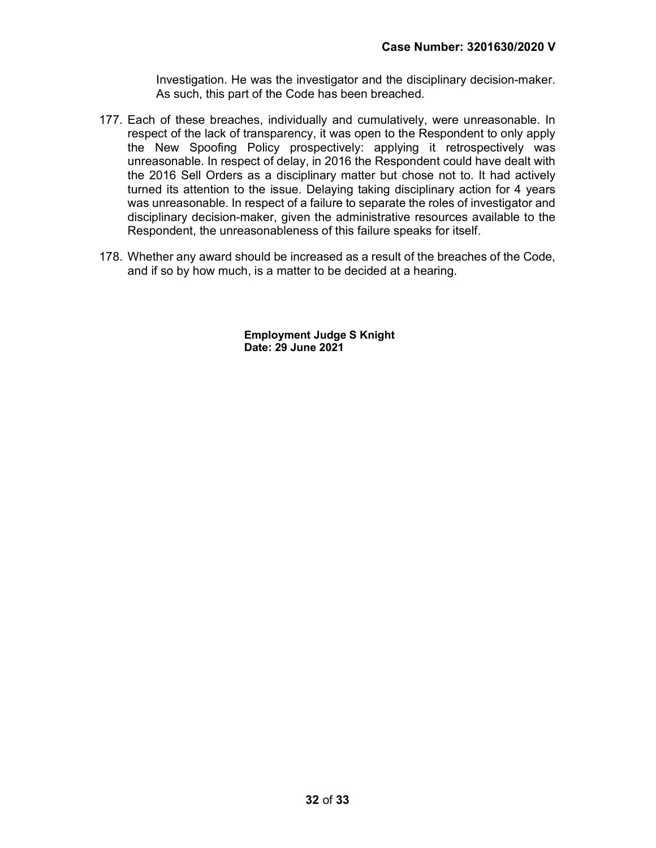Investigation. He was the investigator and the disciplinary decision-maker. As such, this part of the Code has been breached.

- 177. Each of these breaches, individually and cumulatively, were unreasonable. In respect of the lack of transparency, it was open to the Respondent to only apply the New Spoofing Policy prospectively: applying it retrospectively was unreasonable. In respect of delay, in 2016 the Respondent could have dealt with the 2016 Sell Orders as a disciplinary matter but chose not to. It had actively turned its attention to the issue. Delaying taking disciplinary action for 4 years was unreasonable. In respect of a failure to separate the roles of investigator and disciplinary decision-maker, given the administrative resources available to the Respondent, the unreasonableness of this failure speaks for itself.
- 178. Whether any award should be increased as a result of the breaches of the Code, and if so by how much, is a matter to be decided at a hearing.

 Employment Judge S Knight Date: 29 June 2021